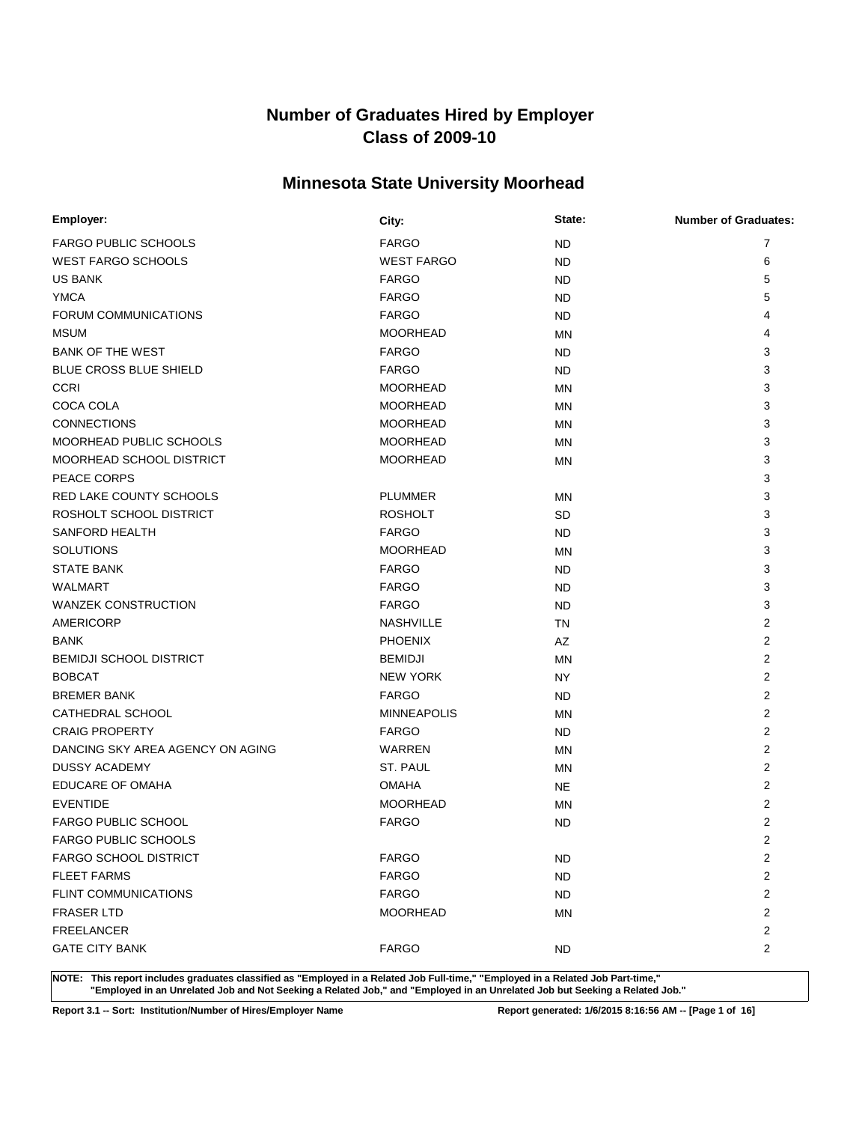### **Minnesota State University Moorhead**

| Employer:                        | City:              | State:    | <b>Number of Graduates:</b> |
|----------------------------------|--------------------|-----------|-----------------------------|
| <b>FARGO PUBLIC SCHOOLS</b>      | <b>FARGO</b>       | <b>ND</b> | 7                           |
| <b>WEST FARGO SCHOOLS</b>        | <b>WEST FARGO</b>  | ND.       | 6                           |
| <b>US BANK</b>                   | <b>FARGO</b>       | ND.       | 5                           |
| <b>YMCA</b>                      | <b>FARGO</b>       | ND.       | 5                           |
| FORUM COMMUNICATIONS             | <b>FARGO</b>       | ND.       | 4                           |
| <b>MSUM</b>                      | <b>MOORHEAD</b>    | <b>MN</b> | 4                           |
| <b>BANK OF THE WEST</b>          | <b>FARGO</b>       | ND.       | 3                           |
| <b>BLUE CROSS BLUE SHIELD</b>    | <b>FARGO</b>       | ND.       | 3                           |
| <b>CCRI</b>                      | <b>MOORHEAD</b>    | <b>MN</b> | 3                           |
| COCA COLA                        | <b>MOORHEAD</b>    | <b>MN</b> | 3                           |
| <b>CONNECTIONS</b>               | <b>MOORHEAD</b>    | <b>MN</b> | 3                           |
| MOORHEAD PUBLIC SCHOOLS          | <b>MOORHEAD</b>    | <b>MN</b> | 3                           |
| MOORHEAD SCHOOL DISTRICT         | <b>MOORHEAD</b>    | MN        | 3                           |
| PEACE CORPS                      |                    |           | 3                           |
| <b>RED LAKE COUNTY SCHOOLS</b>   | <b>PLUMMER</b>     | MN        | 3                           |
| ROSHOLT SCHOOL DISTRICT          | <b>ROSHOLT</b>     | SD.       | 3                           |
| <b>SANFORD HEALTH</b>            | <b>FARGO</b>       | ND.       | 3                           |
| <b>SOLUTIONS</b>                 | <b>MOORHEAD</b>    | ΜN        | 3                           |
| <b>STATE BANK</b>                | <b>FARGO</b>       | ND.       | 3                           |
| WALMART                          | <b>FARGO</b>       | ND.       | 3                           |
| <b>WANZEK CONSTRUCTION</b>       | <b>FARGO</b>       | ND.       | 3                           |
| AMERICORP                        | <b>NASHVILLE</b>   | <b>TN</b> | 2                           |
| <b>BANK</b>                      | <b>PHOENIX</b>     | AZ        | 2                           |
| <b>BEMIDJI SCHOOL DISTRICT</b>   | <b>BEMIDJI</b>     | <b>MN</b> | $\overline{2}$              |
| <b>BOBCAT</b>                    | <b>NEW YORK</b>    | NY        | 2                           |
| <b>BREMER BANK</b>               | <b>FARGO</b>       | ND.       | 2                           |
| CATHEDRAL SCHOOL                 | <b>MINNEAPOLIS</b> | ΜN        | $\overline{2}$              |
| <b>CRAIG PROPERTY</b>            | <b>FARGO</b>       | ND.       | 2                           |
| DANCING SKY AREA AGENCY ON AGING | <b>WARREN</b>      | ΜN        | 2                           |
| <b>DUSSY ACADEMY</b>             | ST. PAUL           | MN        | 2                           |
| <b>EDUCARE OF OMAHA</b>          | <b>OMAHA</b>       | <b>NE</b> | 2                           |
| <b>EVENTIDE</b>                  | <b>MOORHEAD</b>    | MN        | $\overline{2}$              |
| <b>FARGO PUBLIC SCHOOL</b>       | <b>FARGO</b>       | <b>ND</b> | $\overline{2}$              |
| FARGO PUBLIC SCHOOLS             |                    |           | $\overline{2}$              |
| <b>FARGO SCHOOL DISTRICT</b>     | <b>FARGO</b>       | <b>ND</b> | $\overline{2}$              |
| <b>FLEET FARMS</b>               | <b>FARGO</b>       | <b>ND</b> | $\overline{2}$              |
| <b>FLINT COMMUNICATIONS</b>      | <b>FARGO</b>       | ND.       | $\overline{c}$              |
| <b>FRASER LTD</b>                | <b>MOORHEAD</b>    | MN        | $\overline{c}$              |
| <b>FREELANCER</b>                |                    |           | $\overline{c}$              |
| <b>GATE CITY BANK</b>            | <b>FARGO</b>       | <b>ND</b> | $\overline{c}$              |

**NOTE: This report includes graduates classified as "Employed in a Related Job Full-time," "Employed in a Related Job Part-time," "Employed in an Unrelated Job and Not Seeking a Related Job," and "Employed in an Unrelated Job but Seeking a Related Job."**

**Report 3.1 -- Sort: Institution/Number of Hires/Employer Name Report generated: 1/6/2015 8:16:56 AM -- [Page 1 of 16]**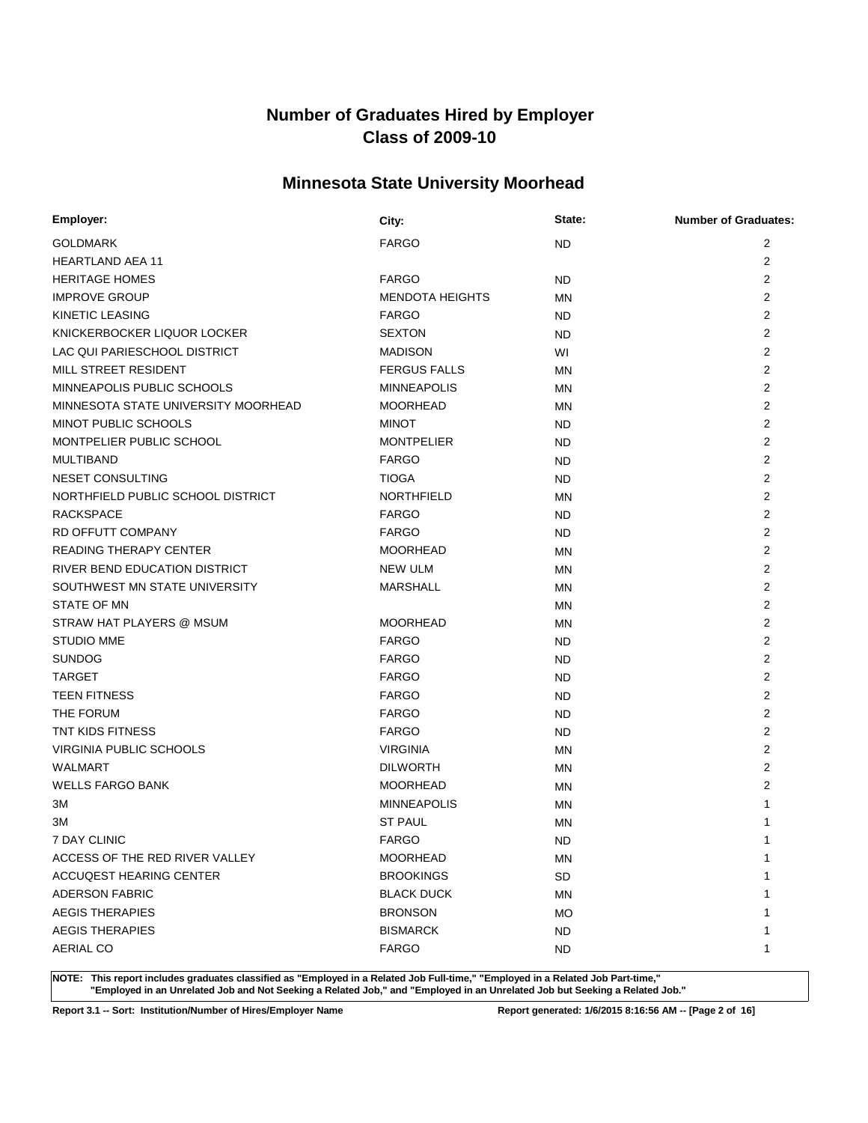### **Minnesota State University Moorhead**

| Employer:                           | City:                  | State:    | <b>Number of Graduates:</b> |
|-------------------------------------|------------------------|-----------|-----------------------------|
| <b>GOLDMARK</b>                     | <b>FARGO</b>           | <b>ND</b> | 2                           |
| <b>HEARTLAND AEA 11</b>             |                        |           | $\overline{2}$              |
| <b>HERITAGE HOMES</b>               | <b>FARGO</b>           | <b>ND</b> | 2                           |
| <b>IMPROVE GROUP</b>                | <b>MENDOTA HEIGHTS</b> | MN        | 2                           |
| <b>KINETIC LEASING</b>              | <b>FARGO</b>           | ND        | 2                           |
| KNICKERBOCKER LIQUOR LOCKER         | <b>SEXTON</b>          | ND        | 2                           |
| LAC QUI PARIESCHOOL DISTRICT        | <b>MADISON</b>         | WI        | 2                           |
| MILL STREET RESIDENT                | <b>FERGUS FALLS</b>    | MN        | 2                           |
| MINNEAPOLIS PUBLIC SCHOOLS          | <b>MINNEAPOLIS</b>     | <b>MN</b> | $\overline{2}$              |
| MINNESOTA STATE UNIVERSITY MOORHEAD | <b>MOORHEAD</b>        | MN        | $\overline{2}$              |
| MINOT PUBLIC SCHOOLS                | <b>MINOT</b>           | ND        | 2                           |
| MONTPELIER PUBLIC SCHOOL            | <b>MONTPELIER</b>      | ND        | 2                           |
| <b>MULTIBAND</b>                    | <b>FARGO</b>           | <b>ND</b> | 2                           |
| NESET CONSULTING                    | <b>TIOGA</b>           | ND        | 2                           |
| NORTHFIELD PUBLIC SCHOOL DISTRICT   | NORTHFIELD             | <b>MN</b> | 2                           |
| <b>RACKSPACE</b>                    | <b>FARGO</b>           | ND        | $\overline{2}$              |
| RD OFFUTT COMPANY                   | <b>FARGO</b>           | ND        | 2                           |
| <b>READING THERAPY CENTER</b>       | <b>MOORHEAD</b>        | MN        | 2                           |
| RIVER BEND EDUCATION DISTRICT       | <b>NEW ULM</b>         | MN        | 2                           |
| SOUTHWEST MN STATE UNIVERSITY       | <b>MARSHALL</b>        | MN        | 2                           |
| <b>STATE OF MN</b>                  |                        | MN        | $\overline{2}$              |
| STRAW HAT PLAYERS @ MSUM            | <b>MOORHEAD</b>        | ΜN        | 2                           |
| <b>STUDIO MME</b>                   | <b>FARGO</b>           | ND.       | $\overline{2}$              |
| <b>SUNDOG</b>                       | <b>FARGO</b>           | ND        | $\overline{2}$              |
| <b>TARGET</b>                       | <b>FARGO</b>           | ND        | $\overline{2}$              |
| <b>TEEN FITNESS</b>                 | <b>FARGO</b>           | ND        | $\overline{2}$              |
| THE FORUM                           | <b>FARGO</b>           | ND        | 2                           |
| <b>TNT KIDS FITNESS</b>             | <b>FARGO</b>           | ND        | 2                           |
| VIRGINIA PUBLIC SCHOOLS             | <b>VIRGINIA</b>        | MN        | 2                           |
| <b>WALMART</b>                      | <b>DILWORTH</b>        | MN        | 2                           |
| <b>WELLS FARGO BANK</b>             | <b>MOORHEAD</b>        | MN        | $\overline{2}$              |
| ЗM                                  | <b>MINNEAPOLIS</b>     | MN        | 1                           |
| ЗM                                  | <b>ST PAUL</b>         | MN        |                             |
| 7 DAY CLINIC                        | <b>FARGO</b>           | <b>ND</b> | $\mathbf{1}$                |
| ACCESS OF THE RED RIVER VALLEY      | <b>MOORHEAD</b>        | <b>MN</b> | $\mathbf{1}$                |
| ACCUQEST HEARING CENTER             | <b>BROOKINGS</b>       | <b>SD</b> |                             |
| <b>ADERSON FABRIC</b>               | <b>BLACK DUCK</b>      | MN        |                             |
| <b>AEGIS THERAPIES</b>              | <b>BRONSON</b>         | МO        |                             |
| <b>AEGIS THERAPIES</b>              | <b>BISMARCK</b>        | <b>ND</b> |                             |
| <b>AERIAL CO</b>                    | <b>FARGO</b>           | ND.       | 1                           |

**NOTE: This report includes graduates classified as "Employed in a Related Job Full-time," "Employed in a Related Job Part-time," "Employed in an Unrelated Job and Not Seeking a Related Job," and "Employed in an Unrelated Job but Seeking a Related Job."**

**Report 3.1 -- Sort: Institution/Number of Hires/Employer Name Report generated: 1/6/2015 8:16:56 AM -- [Page 2 of 16]**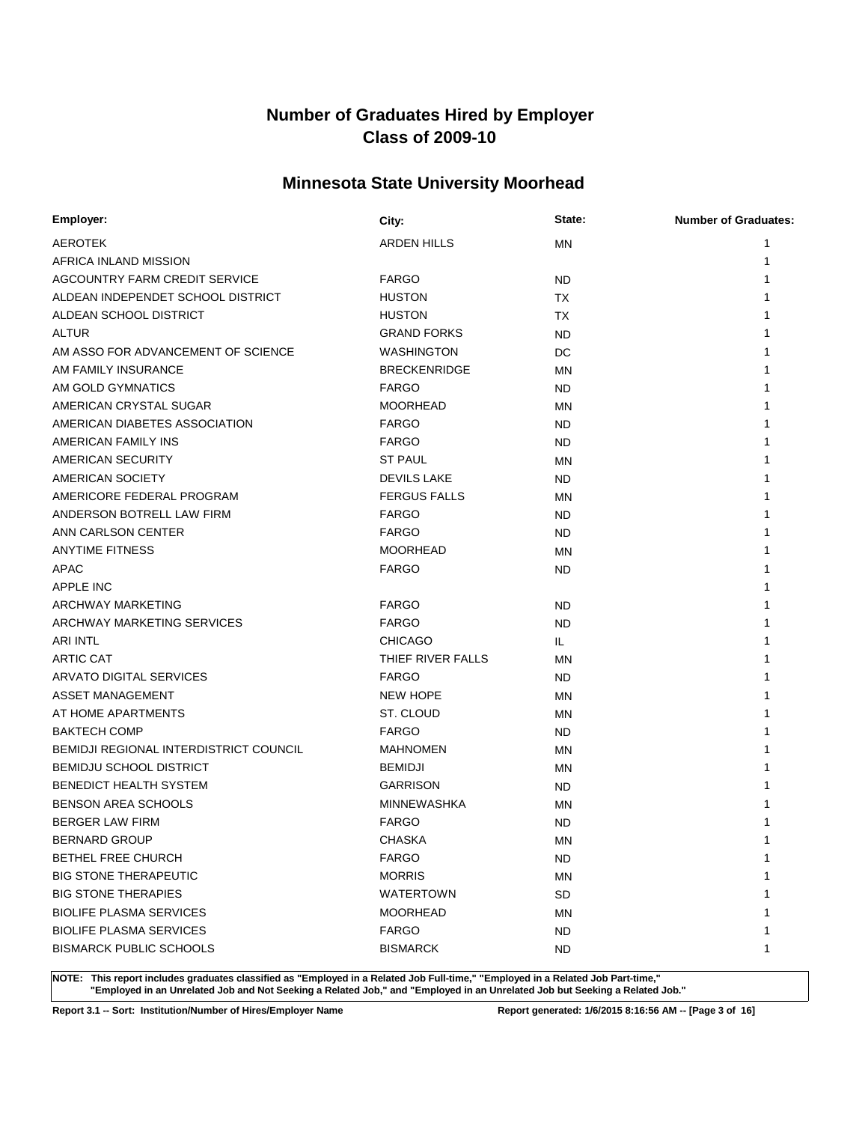### **Minnesota State University Moorhead**

| Employer:                                     | City:               | State:    | <b>Number of Graduates:</b> |
|-----------------------------------------------|---------------------|-----------|-----------------------------|
| AEROTEK                                       | ARDEN HILLS         | <b>MN</b> |                             |
| AFRICA INLAND MISSION                         |                     |           | 1                           |
| AGCOUNTRY FARM CREDIT SERVICE                 | <b>FARGO</b>        | <b>ND</b> |                             |
| ALDEAN INDEPENDET SCHOOL DISTRICT             | <b>HUSTON</b>       | ТX        |                             |
| ALDEAN SCHOOL DISTRICT                        | <b>HUSTON</b>       | ТX        |                             |
| <b>ALTUR</b>                                  | <b>GRAND FORKS</b>  | <b>ND</b> |                             |
| AM ASSO FOR ADVANCEMENT OF SCIENCE            | <b>WASHINGTON</b>   | DC        |                             |
| AM FAMILY INSURANCE                           | <b>BRECKENRIDGE</b> | MN        |                             |
| AM GOLD GYMNATICS                             | <b>FARGO</b>        | ND        |                             |
| AMERICAN CRYSTAL SUGAR                        | <b>MOORHEAD</b>     | MN        |                             |
| AMERICAN DIABETES ASSOCIATION                 | <b>FARGO</b>        | ND        |                             |
| AMERICAN FAMILY INS                           | <b>FARGO</b>        | ND        |                             |
| AMERICAN SECURITY                             | <b>ST PAUL</b>      | <b>MN</b> |                             |
| AMERICAN SOCIETY                              | <b>DEVILS LAKE</b>  | ND        |                             |
| AMERICORE FEDERAL PROGRAM                     | <b>FERGUS FALLS</b> | <b>MN</b> |                             |
| ANDERSON BOTRELL LAW FIRM                     | <b>FARGO</b>        | ND        |                             |
| ANN CARLSON CENTER                            | <b>FARGO</b>        | <b>ND</b> |                             |
| <b>ANYTIME FITNESS</b>                        | <b>MOORHEAD</b>     | MN        |                             |
| APAC                                          | <b>FARGO</b>        | ND        |                             |
| <b>APPLE INC</b>                              |                     |           |                             |
| ARCHWAY MARKETING                             | <b>FARGO</b>        | ND        |                             |
| ARCHWAY MARKETING SERVICES                    | <b>FARGO</b>        | <b>ND</b> |                             |
| <b>ARI INTL</b>                               | <b>CHICAGO</b>      | IL.       |                             |
| ARTIC CAT                                     | THIEF RIVER FALLS   | MN        |                             |
| ARVATO DIGITAL SERVICES                       | <b>FARGO</b>        | <b>ND</b> |                             |
| ASSET MANAGEMENT                              | <b>NEW HOPE</b>     | MN        |                             |
| AT HOME APARTMENTS                            | ST. CLOUD           | <b>MN</b> |                             |
| <b>BAKTECH COMP</b>                           | <b>FARGO</b>        | ND        |                             |
| <b>BEMIDJI REGIONAL INTERDISTRICT COUNCIL</b> | <b>MAHNOMEN</b>     | MN        |                             |
| <b>BEMIDJU SCHOOL DISTRICT</b>                | <b>BEMIDJI</b>      | ΜN        |                             |
| <b>BENEDICT HEALTH SYSTEM</b>                 | <b>GARRISON</b>     | ND        |                             |
| <b>BENSON AREA SCHOOLS</b>                    | <b>MINNEWASHKA</b>  | ΜN        |                             |
| <b>BERGER LAW FIRM</b>                        | <b>FARGO</b>        | <b>ND</b> |                             |
| <b>BERNARD GROUP</b>                          | <b>CHASKA</b>       | MN        | 1                           |
| BETHEL FREE CHURCH                            | <b>FARGO</b>        | <b>ND</b> | $\mathbf{1}$                |
| <b>BIG STONE THERAPEUTIC</b>                  | <b>MORRIS</b>       | MN        |                             |
| <b>BIG STONE THERAPIES</b>                    | <b>WATERTOWN</b>    | <b>SD</b> |                             |
| <b>BIOLIFE PLASMA SERVICES</b>                | <b>MOORHEAD</b>     | MN        |                             |
| <b>BIOLIFE PLASMA SERVICES</b>                | <b>FARGO</b>        | <b>ND</b> |                             |
| <b>BISMARCK PUBLIC SCHOOLS</b>                | <b>BISMARCK</b>     | ND.       | 1                           |

**NOTE: This report includes graduates classified as "Employed in a Related Job Full-time," "Employed in a Related Job Part-time," "Employed in an Unrelated Job and Not Seeking a Related Job," and "Employed in an Unrelated Job but Seeking a Related Job."**

**Report 3.1 -- Sort: Institution/Number of Hires/Employer Name Report generated: 1/6/2015 8:16:56 AM -- [Page 3 of 16]**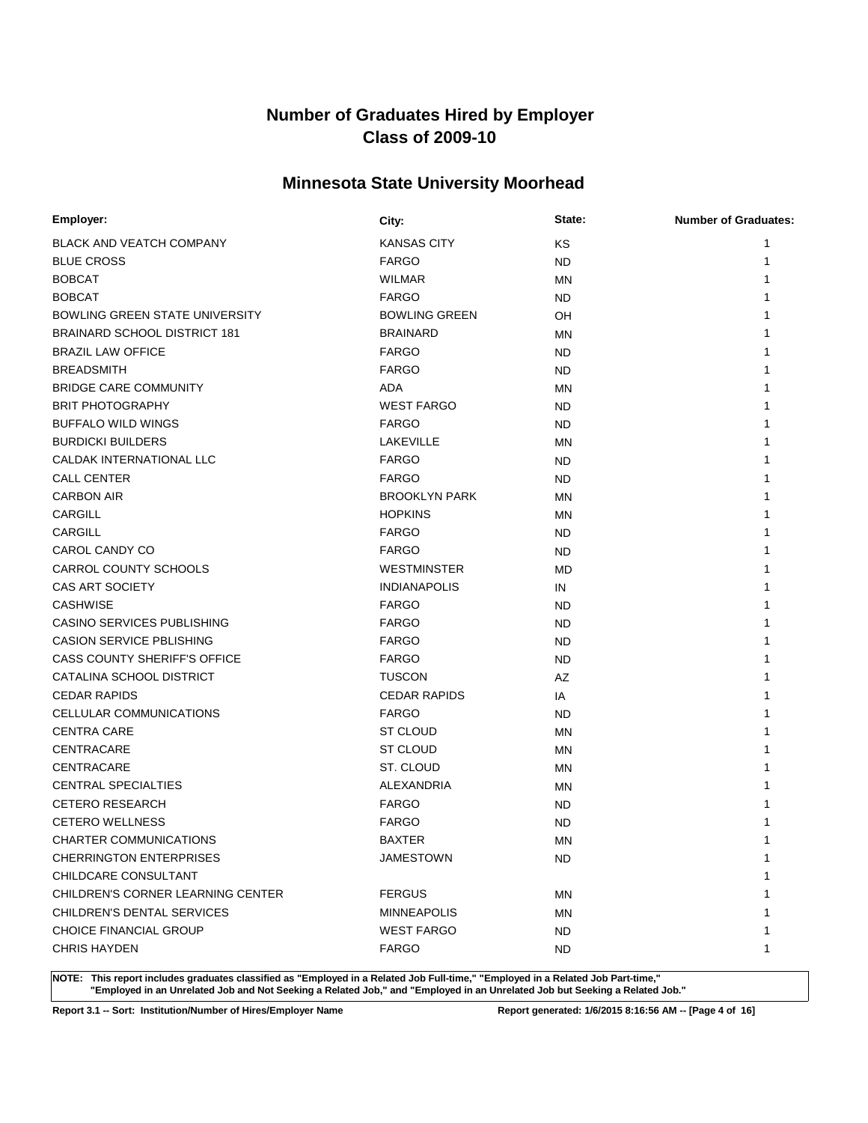### **Minnesota State University Moorhead**

| Employer:                             | City:                | State:    | <b>Number of Graduates:</b> |
|---------------------------------------|----------------------|-----------|-----------------------------|
| <b>BLACK AND VEATCH COMPANY</b>       | <b>KANSAS CITY</b>   | KS        | 1                           |
| <b>BLUE CROSS</b>                     | <b>FARGO</b>         | ND.       | 1                           |
| <b>BOBCAT</b>                         | <b>WILMAR</b>        | ΜN        |                             |
| <b>BOBCAT</b>                         | <b>FARGO</b>         | ND.       |                             |
| <b>BOWLING GREEN STATE UNIVERSITY</b> | <b>BOWLING GREEN</b> | OH        |                             |
| BRAINARD SCHOOL DISTRICT 181          | <b>BRAINARD</b>      | MN        |                             |
| <b>BRAZIL LAW OFFICE</b>              | <b>FARGO</b>         | ND.       |                             |
| <b>BREADSMITH</b>                     | <b>FARGO</b>         | ND.       |                             |
| <b>BRIDGE CARE COMMUNITY</b>          | <b>ADA</b>           | MN        |                             |
| <b>BRIT PHOTOGRAPHY</b>               | <b>WEST FARGO</b>    | ND.       |                             |
| <b>BUFFALO WILD WINGS</b>             | <b>FARGO</b>         | ND.       |                             |
| <b>BURDICKI BUILDERS</b>              | LAKEVILLE            | MN        |                             |
| CALDAK INTERNATIONAL LLC              | <b>FARGO</b>         | ND.       |                             |
| <b>CALL CENTER</b>                    | <b>FARGO</b>         | ND.       |                             |
| <b>CARBON AIR</b>                     | <b>BROOKLYN PARK</b> | ΜN        |                             |
| CARGILL                               | <b>HOPKINS</b>       | MN        |                             |
| <b>CARGILL</b>                        | <b>FARGO</b>         | <b>ND</b> |                             |
| CAROL CANDY CO                        | <b>FARGO</b>         | ND.       |                             |
| CARROL COUNTY SCHOOLS                 | <b>WESTMINSTER</b>   | MD        |                             |
| CAS ART SOCIETY                       | <b>INDIANAPOLIS</b>  | IN        |                             |
| <b>CASHWISE</b>                       | <b>FARGO</b>         | ND.       |                             |
| CASINO SERVICES PUBLISHING            | <b>FARGO</b>         | ND.       |                             |
| <b>CASION SERVICE PBLISHING</b>       | <b>FARGO</b>         | ND.       |                             |
| CASS COUNTY SHERIFF'S OFFICE          | <b>FARGO</b>         | ND.       |                             |
| CATALINA SCHOOL DISTRICT              | <b>TUSCON</b>        | AZ        |                             |
| <b>CEDAR RAPIDS</b>                   | <b>CEDAR RAPIDS</b>  | IA        |                             |
| CELLULAR COMMUNICATIONS               | <b>FARGO</b>         | ND.       |                             |
| <b>CENTRA CARE</b>                    | ST CLOUD             | MN        |                             |
| CENTRACARE                            | ST CLOUD             | ΜN        |                             |
| CENTRACARE                            | ST. CLOUD            | ΜN        |                             |
| <b>CENTRAL SPECIALTIES</b>            | ALEXANDRIA           | MN        |                             |
| <b>CETERO RESEARCH</b>                | <b>FARGO</b>         | <b>ND</b> |                             |
| <b>CETERO WELLNESS</b>                | <b>FARGO</b>         | <b>ND</b> |                             |
| CHARTER COMMUNICATIONS                | <b>BAXTER</b>        | MN        | 1                           |
| <b>CHERRINGTON ENTERPRISES</b>        | JAMESTOWN            | ND.       | 1                           |
| CHILDCARE CONSULTANT                  |                      |           | 1                           |
| CHILDREN'S CORNER LEARNING CENTER     | <b>FERGUS</b>        | ΜN        | 1                           |
| CHILDREN'S DENTAL SERVICES            | <b>MINNEAPOLIS</b>   | MN        |                             |
| <b>CHOICE FINANCIAL GROUP</b>         | <b>WEST FARGO</b>    | ND.       | 1                           |
| <b>CHRIS HAYDEN</b>                   | <b>FARGO</b>         | ND.       | 1                           |

**NOTE: This report includes graduates classified as "Employed in a Related Job Full-time," "Employed in a Related Job Part-time," "Employed in an Unrelated Job and Not Seeking a Related Job," and "Employed in an Unrelated Job but Seeking a Related Job."**

**Report 3.1 -- Sort: Institution/Number of Hires/Employer Name Report generated: 1/6/2015 8:16:56 AM -- [Page 4 of 16]**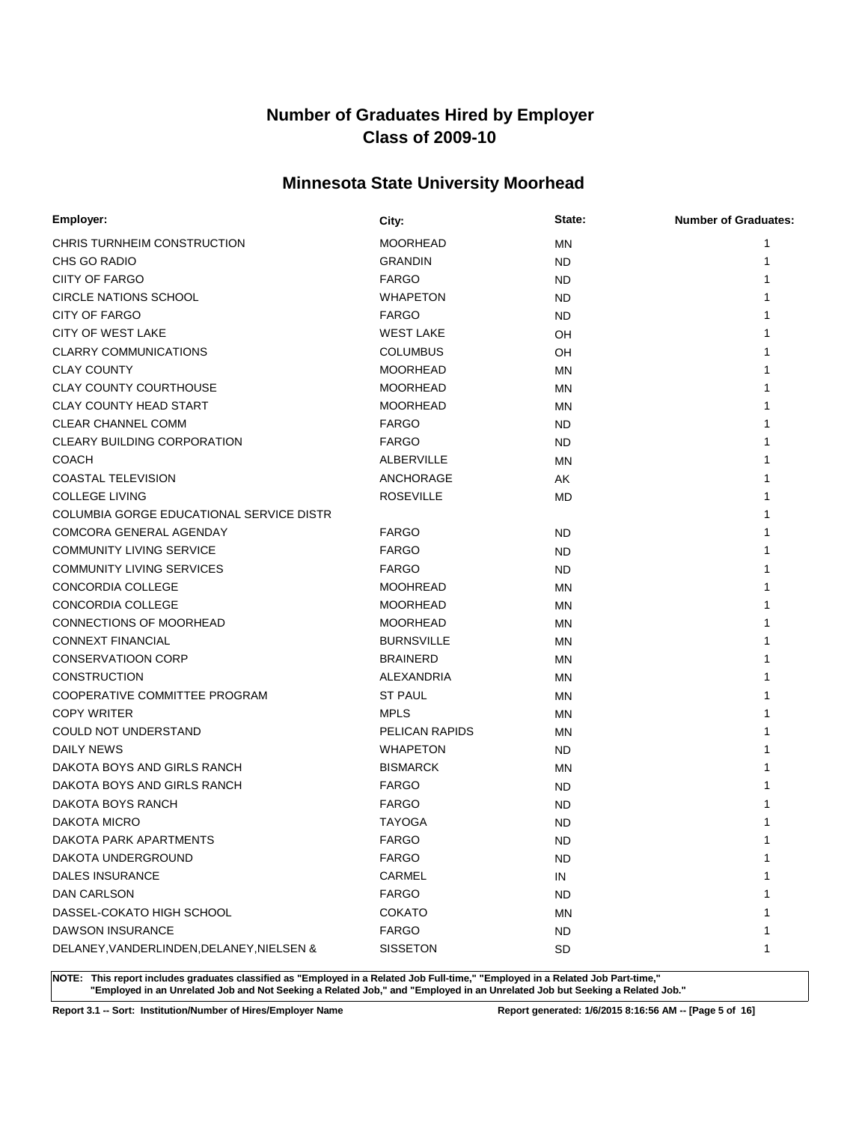### **Minnesota State University Moorhead**

| Employer:                                 | City:                 | State:    | <b>Number of Graduates:</b> |
|-------------------------------------------|-----------------------|-----------|-----------------------------|
| CHRIS TURNHEIM CONSTRUCTION               | <b>MOORHEAD</b>       | ΜN        | 1                           |
| CHS GO RADIO                              | <b>GRANDIN</b>        | ND        | 1                           |
| CIITY OF FARGO                            | <b>FARGO</b>          | ND        | 1                           |
| <b>CIRCLE NATIONS SCHOOL</b>              | <b>WHAPETON</b>       | ND        |                             |
| <b>CITY OF FARGO</b>                      | <b>FARGO</b>          | ND        |                             |
| CITY OF WEST LAKE                         | <b>WEST LAKE</b>      | OH        |                             |
| <b>CLARRY COMMUNICATIONS</b>              | <b>COLUMBUS</b>       | OН        |                             |
| <b>CLAY COUNTY</b>                        | <b>MOORHEAD</b>       | MN        |                             |
| <b>CLAY COUNTY COURTHOUSE</b>             | <b>MOORHEAD</b>       | ΜN        |                             |
| <b>CLAY COUNTY HEAD START</b>             | <b>MOORHEAD</b>       | ΜN        |                             |
| <b>CLEAR CHANNEL COMM</b>                 | <b>FARGO</b>          | ND        |                             |
| CLEARY BUILDING CORPORATION               | <b>FARGO</b>          | ND        |                             |
| <b>COACH</b>                              | ALBERVILLE            | MN        |                             |
| COASTAL TELEVISION                        | ANCHORAGE             | AK        |                             |
| <b>COLLEGE LIVING</b>                     | <b>ROSEVILLE</b>      | <b>MD</b> |                             |
| COLUMBIA GORGE EDUCATIONAL SERVICE DISTR  |                       |           |                             |
| COMCORA GENERAL AGENDAY                   | <b>FARGO</b>          | ND        |                             |
| <b>COMMUNITY LIVING SERVICE</b>           | <b>FARGO</b>          | ND        |                             |
| <b>COMMUNITY LIVING SERVICES</b>          | <b>FARGO</b>          | ND        |                             |
| CONCORDIA COLLEGE                         | <b>MOOHREAD</b>       | MN        |                             |
| <b>CONCORDIA COLLEGE</b>                  | <b>MOORHEAD</b>       | MN        |                             |
| CONNECTIONS OF MOORHEAD                   | <b>MOORHEAD</b>       | ΜN        |                             |
| <b>CONNEXT FINANCIAL</b>                  | <b>BURNSVILLE</b>     | ΜN        |                             |
| <b>CONSERVATIOON CORP</b>                 | <b>BRAINERD</b>       | MN        |                             |
| <b>CONSTRUCTION</b>                       | ALEXANDRIA            | ΜN        |                             |
| COOPERATIVE COMMITTEE PROGRAM             | <b>ST PAUL</b>        | ΜN        |                             |
| <b>COPY WRITER</b>                        | <b>MPLS</b>           | MN        |                             |
| <b>COULD NOT UNDERSTAND</b>               | <b>PELICAN RAPIDS</b> | MN        |                             |
| <b>DAILY NEWS</b>                         | <b>WHAPETON</b>       | ND        |                             |
| DAKOTA BOYS AND GIRLS RANCH               | <b>BISMARCK</b>       | MN        |                             |
| DAKOTA BOYS AND GIRLS RANCH               | <b>FARGO</b>          | ND        |                             |
| DAKOTA BOYS RANCH                         | <b>FARGO</b>          | <b>ND</b> |                             |
| <b>DAKOTA MICRO</b>                       | <b>TAYOGA</b>         | <b>ND</b> |                             |
| DAKOTA PARK APARTMENTS                    | <b>FARGO</b>          | <b>ND</b> | 1                           |
| DAKOTA UNDERGROUND                        | <b>FARGO</b>          | <b>ND</b> | 1                           |
| <b>DALES INSURANCE</b>                    | CARMEL                | IN        |                             |
| DAN CARLSON                               | <b>FARGO</b>          | <b>ND</b> |                             |
| DASSEL-COKATO HIGH SCHOOL                 | <b>COKATO</b>         | MN        |                             |
| DAWSON INSURANCE                          | <b>FARGO</b>          | <b>ND</b> | 1                           |
| DELANEY, VANDERLINDEN, DELANEY, NIELSEN & | <b>SISSETON</b>       | SD        | 1                           |

**NOTE: This report includes graduates classified as "Employed in a Related Job Full-time," "Employed in a Related Job Part-time," "Employed in an Unrelated Job and Not Seeking a Related Job," and "Employed in an Unrelated Job but Seeking a Related Job."**

**Report 3.1 -- Sort: Institution/Number of Hires/Employer Name Report generated: 1/6/2015 8:16:56 AM -- [Page 5 of 16]**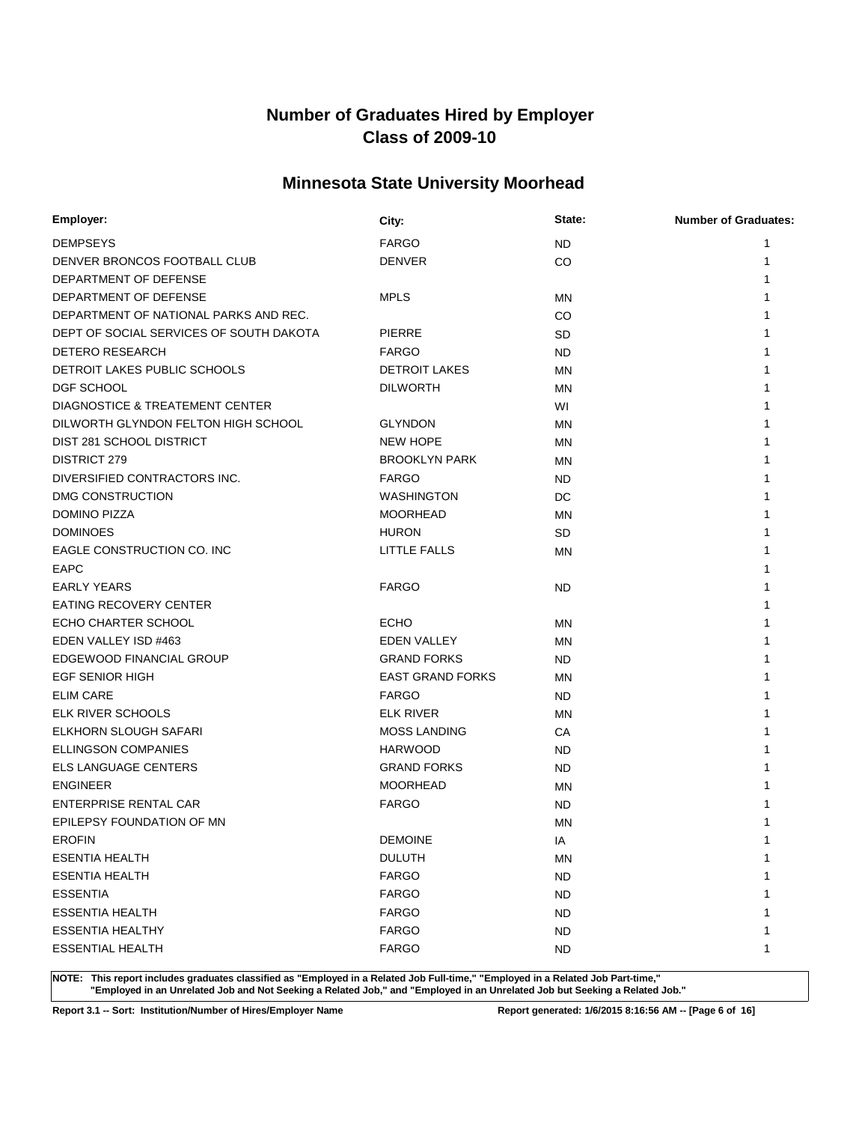### **Minnesota State University Moorhead**

| Employer:                               | City:                   | State:    | <b>Number of Graduates:</b> |
|-----------------------------------------|-------------------------|-----------|-----------------------------|
| <b>DEMPSEYS</b>                         | <b>FARGO</b>            | ND        | 1                           |
| DENVER BRONCOS FOOTBALL CLUB            | <b>DENVER</b>           | CO        | 1                           |
| DEPARTMENT OF DEFENSE                   |                         |           |                             |
| DEPARTMENT OF DEFENSE                   | <b>MPLS</b>             | MN        |                             |
| DEPARTMENT OF NATIONAL PARKS AND REC.   |                         | CO        |                             |
| DEPT OF SOCIAL SERVICES OF SOUTH DAKOTA | <b>PIERRE</b>           | <b>SD</b> |                             |
| <b>DETERO RESEARCH</b>                  | <b>FARGO</b>            | ND        |                             |
| DETROIT LAKES PUBLIC SCHOOLS            | <b>DETROIT LAKES</b>    | MN        |                             |
| <b>DGF SCHOOL</b>                       | <b>DILWORTH</b>         | <b>MN</b> |                             |
| DIAGNOSTICE & TREATEMENT CENTER         |                         | WI        |                             |
| DILWORTH GLYNDON FELTON HIGH SCHOOL     | <b>GLYNDON</b>          | <b>MN</b> |                             |
| DIST 281 SCHOOL DISTRICT                | <b>NEW HOPE</b>         | MN        |                             |
| DISTRICT 279                            | <b>BROOKLYN PARK</b>    | <b>MN</b> |                             |
| DIVERSIFIED CONTRACTORS INC.            | <b>FARGO</b>            | ND        |                             |
| DMG CONSTRUCTION                        | <b>WASHINGTON</b>       | DC        |                             |
| DOMINO PIZZA                            | <b>MOORHEAD</b>         | MN        |                             |
| <b>DOMINOES</b>                         | <b>HURON</b>            | SD        |                             |
| EAGLE CONSTRUCTION CO. INC              | LITTLE FALLS            | MN        |                             |
| <b>EAPC</b>                             |                         |           |                             |
| <b>EARLY YEARS</b>                      | <b>FARGO</b>            | ND        |                             |
| <b>EATING RECOVERY CENTER</b>           |                         |           |                             |
| ECHO CHARTER SCHOOL                     | <b>ECHO</b>             | MN        |                             |
| EDEN VALLEY ISD #463                    | EDEN VALLEY             | <b>MN</b> |                             |
| EDGEWOOD FINANCIAL GROUP                | <b>GRAND FORKS</b>      | ND        |                             |
| <b>EGF SENIOR HIGH</b>                  | <b>EAST GRAND FORKS</b> | <b>MN</b> |                             |
| <b>ELIM CARE</b>                        | <b>FARGO</b>            | ND        |                             |
| ELK RIVER SCHOOLS                       | <b>ELK RIVER</b>        | <b>MN</b> |                             |
| ELKHORN SLOUGH SAFARI                   | <b>MOSS LANDING</b>     | СA        |                             |
| ELLINGSON COMPANIES                     | <b>HARWOOD</b>          | <b>ND</b> |                             |
| <b>ELS LANGUAGE CENTERS</b>             | <b>GRAND FORKS</b>      | ND        |                             |
| <b>ENGINEER</b>                         | <b>MOORHEAD</b>         | MN        |                             |
| <b>ENTERPRISE RENTAL CAR</b>            | <b>FARGO</b>            | ND        |                             |
| EPILEPSY FOUNDATION OF MN               |                         | MN        |                             |
| <b>EROFIN</b>                           | <b>DEMOINE</b>          | IA        | 1                           |
| <b>ESENTIA HEALTH</b>                   | <b>DULUTH</b>           | <b>MN</b> | $\mathbf{1}$                |
| <b>ESENTIA HEALTH</b>                   | <b>FARGO</b>            | <b>ND</b> |                             |
| <b>ESSENTIA</b>                         | <b>FARGO</b>            | <b>ND</b> |                             |
| <b>ESSENTIA HEALTH</b>                  | <b>FARGO</b>            | ND.       |                             |
| <b>ESSENTIA HEALTHY</b>                 | <b>FARGO</b>            | <b>ND</b> |                             |
| <b>ESSENTIAL HEALTH</b>                 | <b>FARGO</b>            | ND.       | 1                           |

**NOTE: This report includes graduates classified as "Employed in a Related Job Full-time," "Employed in a Related Job Part-time," "Employed in an Unrelated Job and Not Seeking a Related Job," and "Employed in an Unrelated Job but Seeking a Related Job."**

**Report 3.1 -- Sort: Institution/Number of Hires/Employer Name Report generated: 1/6/2015 8:16:56 AM -- [Page 6 of 16]**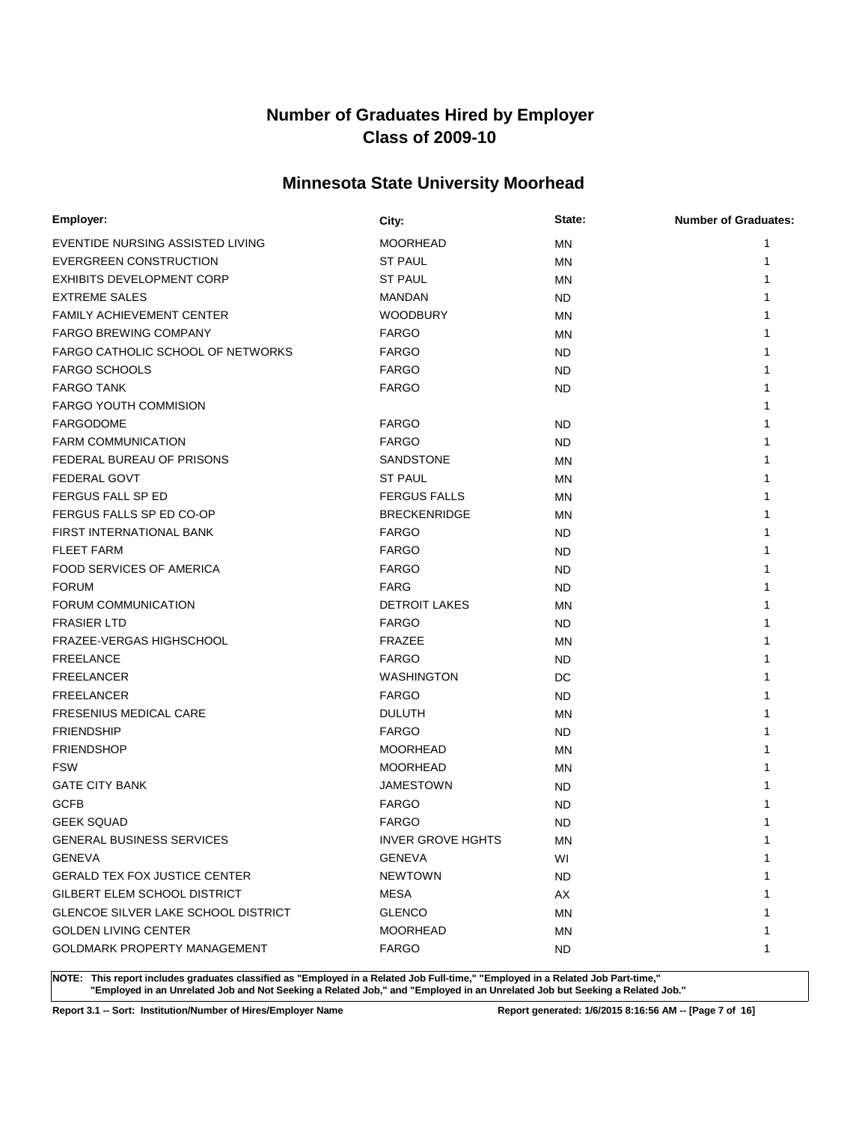### **Minnesota State University Moorhead**

| Employer:                                  | City:                    | State:    | <b>Number of Graduates:</b> |
|--------------------------------------------|--------------------------|-----------|-----------------------------|
| EVENTIDE NURSING ASSISTED LIVING           | <b>MOORHEAD</b>          | <b>MN</b> | 1                           |
| <b>EVERGREEN CONSTRUCTION</b>              | <b>ST PAUL</b>           | <b>MN</b> |                             |
| <b>EXHIBITS DEVELOPMENT CORP</b>           | <b>ST PAUL</b>           | <b>MN</b> |                             |
| <b>EXTREME SALES</b>                       | <b>MANDAN</b>            | ND        |                             |
| <b>FAMILY ACHIEVEMENT CENTER</b>           | <b>WOODBURY</b>          | <b>MN</b> |                             |
| <b>FARGO BREWING COMPANY</b>               | <b>FARGO</b>             | <b>MN</b> |                             |
| <b>FARGO CATHOLIC SCHOOL OF NETWORKS</b>   | <b>FARGO</b>             | <b>ND</b> |                             |
| <b>FARGO SCHOOLS</b>                       | <b>FARGO</b>             | ND        |                             |
| <b>FARGO TANK</b>                          | <b>FARGO</b>             | <b>ND</b> |                             |
| <b>FARGO YOUTH COMMISION</b>               |                          |           |                             |
| <b>FARGODOME</b>                           | <b>FARGO</b>             | <b>ND</b> |                             |
| <b>FARM COMMUNICATION</b>                  | <b>FARGO</b>             | ND        |                             |
| FEDERAL BUREAU OF PRISONS                  | SANDSTONE                | <b>MN</b> |                             |
| <b>FEDERAL GOVT</b>                        | <b>ST PAUL</b>           | MN        |                             |
| FERGUS FALL SP ED                          | <b>FERGUS FALLS</b>      | <b>MN</b> |                             |
| FERGUS FALLS SP ED CO-OP                   | <b>BRECKENRIDGE</b>      | <b>MN</b> |                             |
| FIRST INTERNATIONAL BANK                   | <b>FARGO</b>             | ND        |                             |
| <b>FLEET FARM</b>                          | <b>FARGO</b>             | ND        |                             |
| <b>FOOD SERVICES OF AMERICA</b>            | <b>FARGO</b>             | ND        |                             |
| <b>FORUM</b>                               | <b>FARG</b>              | ND        |                             |
| FORUM COMMUNICATION                        | <b>DETROIT LAKES</b>     | MN        |                             |
| <b>FRASIER LTD</b>                         | <b>FARGO</b>             | ND.       |                             |
| FRAZEE-VERGAS HIGHSCHOOL                   | <b>FRAZEE</b>            | <b>MN</b> |                             |
| <b>FREELANCE</b>                           | <b>FARGO</b>             | ND        |                             |
| <b>FREELANCER</b>                          | <b>WASHINGTON</b>        | DC        |                             |
| <b>FREELANCER</b>                          | <b>FARGO</b>             | ND.       |                             |
| <b>FRESENIUS MEDICAL CARE</b>              | <b>DULUTH</b>            | <b>MN</b> |                             |
| <b>FRIENDSHIP</b>                          | <b>FARGO</b>             | ND        |                             |
| <b>FRIENDSHOP</b>                          | <b>MOORHEAD</b>          | <b>MN</b> |                             |
| <b>FSW</b>                                 | <b>MOORHEAD</b>          | <b>MN</b> |                             |
| <b>GATE CITY BANK</b>                      | <b>JAMESTOWN</b>         | <b>ND</b> |                             |
| <b>GCFB</b>                                | <b>FARGO</b>             | <b>ND</b> |                             |
| <b>GEEK SQUAD</b>                          | <b>FARGO</b>             | <b>ND</b> |                             |
| <b>GENERAL BUSINESS SERVICES</b>           | <b>INVER GROVE HGHTS</b> | MN        |                             |
| GENEVA                                     | <b>GENEVA</b>            | WI        | 1                           |
| <b>GERALD TEX FOX JUSTICE CENTER</b>       | <b>NEWTOWN</b>           | ND.       | 1                           |
| GILBERT ELEM SCHOOL DISTRICT               | MESA                     | AX        | 1                           |
| <b>GLENCOE SILVER LAKE SCHOOL DISTRICT</b> | <b>GLENCO</b>            | ΜN        | 1                           |
| <b>GOLDEN LIVING CENTER</b>                | <b>MOORHEAD</b>          | <b>MN</b> | 1                           |
| <b>GOLDMARK PROPERTY MANAGEMENT</b>        | <b>FARGO</b>             | ND.       | 1                           |

**NOTE: This report includes graduates classified as "Employed in a Related Job Full-time," "Employed in a Related Job Part-time," "Employed in an Unrelated Job and Not Seeking a Related Job," and "Employed in an Unrelated Job but Seeking a Related Job."**

**Report 3.1 -- Sort: Institution/Number of Hires/Employer Name Report generated: 1/6/2015 8:16:56 AM -- [Page 7 of 16]**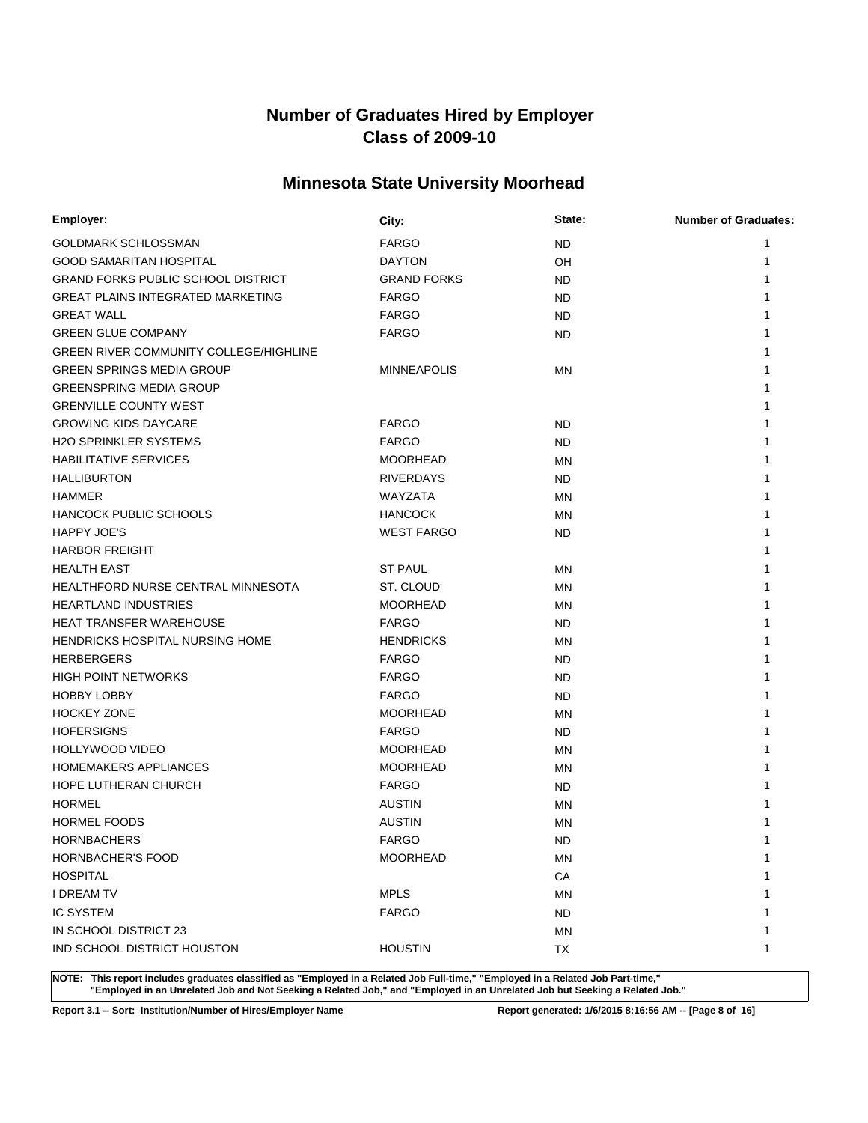### **Minnesota State University Moorhead**

| Employer:                                     | City:              | State:    | <b>Number of Graduates:</b> |
|-----------------------------------------------|--------------------|-----------|-----------------------------|
| GOLDMARK SCHLOSSMAN                           | <b>FARGO</b>       | ND.       | 1                           |
| <b>GOOD SAMARITAN HOSPITAL</b>                | <b>DAYTON</b>      | OH        | 1                           |
| <b>GRAND FORKS PUBLIC SCHOOL DISTRICT</b>     | <b>GRAND FORKS</b> | ND        | 1                           |
| <b>GREAT PLAINS INTEGRATED MARKETING</b>      | <b>FARGO</b>       | ND        | 1                           |
| <b>GREAT WALL</b>                             | <b>FARGO</b>       | ND.       |                             |
| <b>GREEN GLUE COMPANY</b>                     | <b>FARGO</b>       | <b>ND</b> |                             |
| <b>GREEN RIVER COMMUNITY COLLEGE/HIGHLINE</b> |                    |           |                             |
| <b>GREEN SPRINGS MEDIA GROUP</b>              | <b>MINNEAPOLIS</b> | MN        |                             |
| <b>GREENSPRING MEDIA GROUP</b>                |                    |           |                             |
| <b>GRENVILLE COUNTY WEST</b>                  |                    |           |                             |
| <b>GROWING KIDS DAYCARE</b>                   | <b>FARGO</b>       | ND        |                             |
| <b>H2O SPRINKLER SYSTEMS</b>                  | <b>FARGO</b>       | <b>ND</b> |                             |
| <b>HABILITATIVE SERVICES</b>                  | <b>MOORHEAD</b>    | <b>MN</b> | 1                           |
| <b>HALLIBURTON</b>                            | <b>RIVERDAYS</b>   | <b>ND</b> |                             |
| <b>HAMMER</b>                                 | WAYZATA            | <b>MN</b> |                             |
| <b>HANCOCK PUBLIC SCHOOLS</b>                 | <b>HANCOCK</b>     | ΜN        |                             |
| <b>HAPPY JOE'S</b>                            | <b>WEST FARGO</b>  | ND.       |                             |
| <b>HARBOR FREIGHT</b>                         |                    |           |                             |
| <b>HEALTH EAST</b>                            | <b>ST PAUL</b>     | <b>MN</b> |                             |
| HEALTHFORD NURSE CENTRAL MINNESOTA            | ST. CLOUD          | <b>MN</b> |                             |
| <b>HEARTLAND INDUSTRIES</b>                   | <b>MOORHEAD</b>    | <b>MN</b> | 1                           |
| <b>HEAT TRANSFER WAREHOUSE</b>                | <b>FARGO</b>       | <b>ND</b> |                             |
| HENDRICKS HOSPITAL NURSING HOME               | <b>HENDRICKS</b>   | ΜN        | 1                           |
| <b>HERBERGERS</b>                             | <b>FARGO</b>       | ND.       |                             |
| <b>HIGH POINT NETWORKS</b>                    | <b>FARGO</b>       | ND.       |                             |
| <b>HOBBY LOBBY</b>                            | <b>FARGO</b>       | ND        |                             |
| <b>HOCKEY ZONE</b>                            | <b>MOORHEAD</b>    | <b>MN</b> |                             |
| <b>HOFERSIGNS</b>                             | <b>FARGO</b>       | ND.       |                             |
| <b>HOLLYWOOD VIDEO</b>                        | <b>MOORHEAD</b>    | <b>MN</b> |                             |
| <b>HOMEMAKERS APPLIANCES</b>                  | <b>MOORHEAD</b>    | ΜN        |                             |
| HOPE LUTHERAN CHURCH                          | <b>FARGO</b>       | ND.       |                             |
| <b>HORMEL</b>                                 | <b>AUSTIN</b>      | <b>MN</b> |                             |
| <b>HORMEL FOODS</b>                           | <b>AUSTIN</b>      | MN        |                             |
| <b>HORNBACHERS</b>                            | <b>FARGO</b>       | <b>ND</b> | 1                           |
| <b>HORNBACHER'S FOOD</b>                      | <b>MOORHEAD</b>    | MN        | 1                           |
| <b>HOSPITAL</b>                               |                    | CA        |                             |
| <b>I DREAM TV</b>                             | <b>MPLS</b>        | ΜN        |                             |
| <b>IC SYSTEM</b>                              | <b>FARGO</b>       | ND.       |                             |
| IN SCHOOL DISTRICT 23                         |                    | MN        |                             |
| IND SCHOOL DISTRICT HOUSTON                   | <b>HOUSTIN</b>     | TX        | 1                           |

**NOTE: This report includes graduates classified as "Employed in a Related Job Full-time," "Employed in a Related Job Part-time," "Employed in an Unrelated Job and Not Seeking a Related Job," and "Employed in an Unrelated Job but Seeking a Related Job."**

**Report 3.1 -- Sort: Institution/Number of Hires/Employer Name Report generated: 1/6/2015 8:16:56 AM -- [Page 8 of 16]**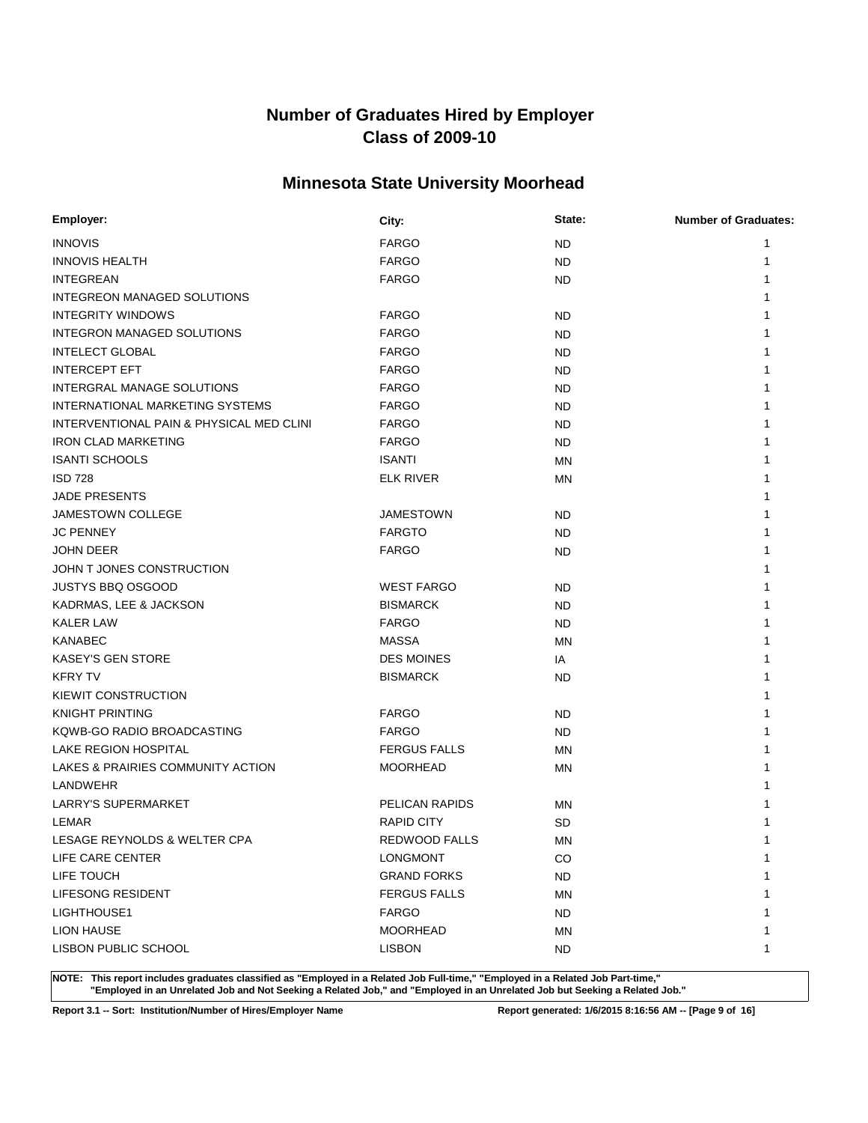### **Minnesota State University Moorhead**

| Employer:                                | City:                 | State:    | <b>Number of Graduates:</b> |
|------------------------------------------|-----------------------|-----------|-----------------------------|
| <b>INNOVIS</b>                           | <b>FARGO</b>          | <b>ND</b> | 1                           |
| <b>INNOVIS HEALTH</b>                    | <b>FARGO</b>          | <b>ND</b> | 1                           |
| <b>INTEGREAN</b>                         | <b>FARGO</b>          | ND        |                             |
| <b>INTEGREON MANAGED SOLUTIONS</b>       |                       |           |                             |
| <b>INTEGRITY WINDOWS</b>                 | <b>FARGO</b>          | ND        |                             |
| INTEGRON MANAGED SOLUTIONS               | <b>FARGO</b>          | ND        |                             |
| <b>INTELECT GLOBAL</b>                   | <b>FARGO</b>          | ND        |                             |
| <b>INTERCEPT EFT</b>                     | <b>FARGO</b>          | ND        |                             |
| INTERGRAL MANAGE SOLUTIONS               | <b>FARGO</b>          | <b>ND</b> |                             |
| INTERNATIONAL MARKETING SYSTEMS          | <b>FARGO</b>          | <b>ND</b> |                             |
| INTERVENTIONAL PAIN & PHYSICAL MED CLINI | <b>FARGO</b>          | ND        |                             |
| <b>IRON CLAD MARKETING</b>               | <b>FARGO</b>          | ND        |                             |
| <b>ISANTI SCHOOLS</b>                    | <b>ISANTI</b>         | <b>MN</b> |                             |
| <b>ISD 728</b>                           | <b>ELK RIVER</b>      | <b>MN</b> |                             |
| <b>JADE PRESENTS</b>                     |                       |           |                             |
| JAMESTOWN COLLEGE                        | <b>JAMESTOWN</b>      | ND        |                             |
| <b>JC PENNEY</b>                         | <b>FARGTO</b>         | <b>ND</b> |                             |
| <b>JOHN DEER</b>                         | <b>FARGO</b>          | <b>ND</b> |                             |
| JOHN T JONES CONSTRUCTION                |                       |           |                             |
| <b>JUSTYS BBQ OSGOOD</b>                 | <b>WEST FARGO</b>     | ND        |                             |
| KADRMAS, LEE & JACKSON                   | <b>BISMARCK</b>       | ND        |                             |
| <b>KALER LAW</b>                         | <b>FARGO</b>          | ND        |                             |
| <b>KANABEC</b>                           | <b>MASSA</b>          | MN        |                             |
| <b>KASEY'S GEN STORE</b>                 | <b>DES MOINES</b>     | IA        |                             |
| <b>KFRY TV</b>                           | <b>BISMARCK</b>       | <b>ND</b> |                             |
| KIEWIT CONSTRUCTION                      |                       |           |                             |
| <b>KNIGHT PRINTING</b>                   | <b>FARGO</b>          | ND        |                             |
| KQWB-GO RADIO BROADCASTING               | <b>FARGO</b>          | ND        |                             |
| LAKE REGION HOSPITAL                     | <b>FERGUS FALLS</b>   | <b>MN</b> |                             |
| LAKES & PRAIRIES COMMUNITY ACTION        | <b>MOORHEAD</b>       | <b>MN</b> |                             |
| LANDWEHR                                 |                       |           |                             |
| LARRY'S SUPERMARKET                      | <b>PELICAN RAPIDS</b> | <b>MN</b> |                             |
| LEMAR                                    | <b>RAPID CITY</b>     | <b>SD</b> |                             |
| LESAGE REYNOLDS & WELTER CPA             | REDWOOD FALLS         | ΜN        | 1                           |
| LIFE CARE CENTER                         | <b>LONGMONT</b>       | CO        | $\mathbf{1}$                |
| LIFE TOUCH                               | <b>GRAND FORKS</b>    | <b>ND</b> |                             |
| LIFESONG RESIDENT                        | <b>FERGUS FALLS</b>   | <b>MN</b> |                             |
| LIGHTHOUSE1                              | <b>FARGO</b>          | ND.       |                             |
| LION HAUSE                               | <b>MOORHEAD</b>       | MN        |                             |
| LISBON PUBLIC SCHOOL                     | <b>LISBON</b>         | ND.       | 1                           |

**NOTE: This report includes graduates classified as "Employed in a Related Job Full-time," "Employed in a Related Job Part-time," "Employed in an Unrelated Job and Not Seeking a Related Job," and "Employed in an Unrelated Job but Seeking a Related Job."**

**Report 3.1 -- Sort: Institution/Number of Hires/Employer Name Report generated: 1/6/2015 8:16:56 AM -- [Page 9 of 16]**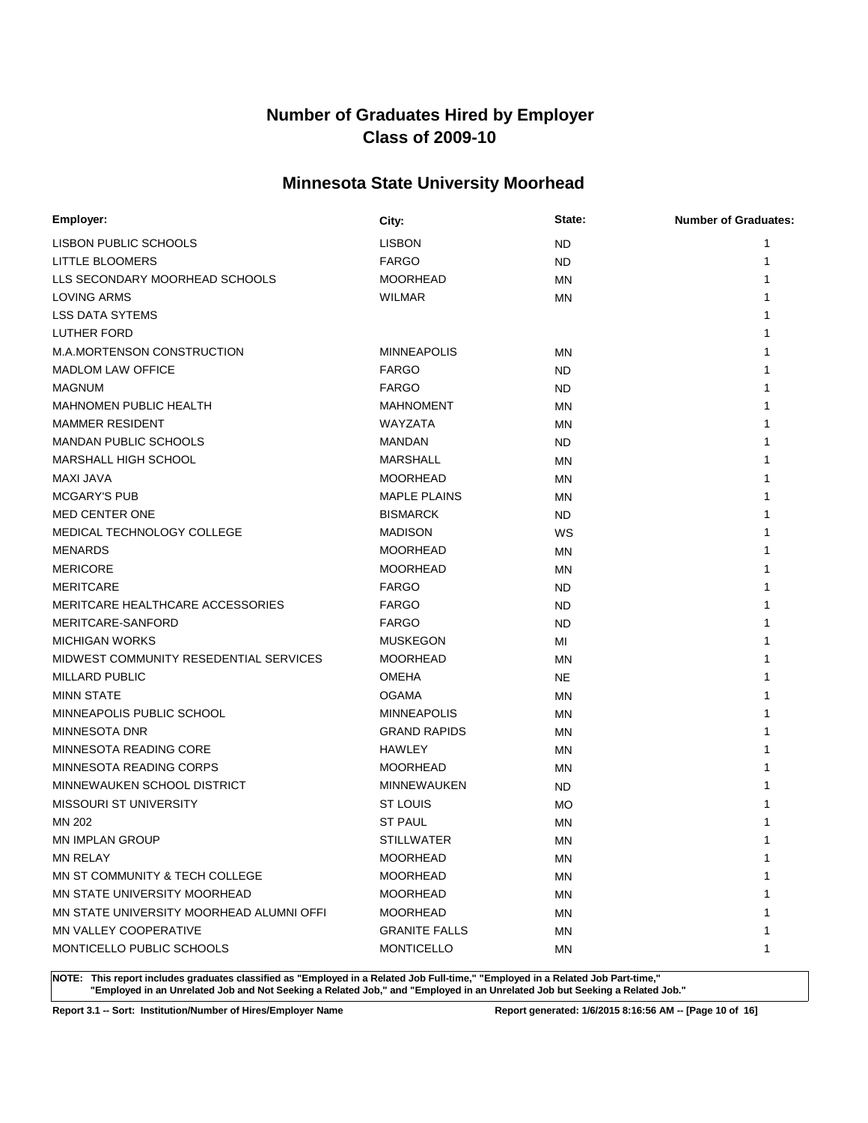### **Minnesota State University Moorhead**

| <b>Employer:</b>                         | City:                | State:    | <b>Number of Graduates:</b> |
|------------------------------------------|----------------------|-----------|-----------------------------|
| LISBON PUBLIC SCHOOLS                    | <b>LISBON</b>        | <b>ND</b> | 1                           |
| LITTLE BLOOMERS                          | <b>FARGO</b>         | <b>ND</b> | 1                           |
| LLS SECONDARY MOORHEAD SCHOOLS           | <b>MOORHEAD</b>      | MN        |                             |
| <b>LOVING ARMS</b>                       | <b>WILMAR</b>        | MN        |                             |
| <b>LSS DATA SYTEMS</b>                   |                      |           |                             |
| LUTHER FORD                              |                      |           |                             |
| M.A.MORTENSON CONSTRUCTION               | <b>MINNEAPOLIS</b>   | ΜN        |                             |
| <b>MADLOM LAW OFFICE</b>                 | <b>FARGO</b>         | <b>ND</b> |                             |
| MAGNUM                                   | <b>FARGO</b>         | <b>ND</b> |                             |
| <b>MAHNOMEN PUBLIC HEALTH</b>            | <b>MAHNOMENT</b>     | <b>MN</b> |                             |
| <b>MAMMER RESIDENT</b>                   | <b>WAYZATA</b>       | <b>MN</b> |                             |
| <b>MANDAN PUBLIC SCHOOLS</b>             | <b>MANDAN</b>        | <b>ND</b> |                             |
| MARSHALL HIGH SCHOOL                     | <b>MARSHALL</b>      | MN        |                             |
| MAXI JAVA                                | <b>MOORHEAD</b>      | <b>MN</b> |                             |
| <b>MCGARY'S PUB</b>                      | <b>MAPLE PLAINS</b>  | ΜN        |                             |
| MED CENTER ONE                           | <b>BISMARCK</b>      | ND        |                             |
| MEDICAL TECHNOLOGY COLLEGE               | <b>MADISON</b>       | WS        |                             |
| MENARDS                                  | <b>MOORHEAD</b>      | ΜN        |                             |
| <b>MERICORE</b>                          | <b>MOORHEAD</b>      | MN        |                             |
| <b>MERITCARE</b>                         | <b>FARGO</b>         | ND        |                             |
| MERITCARE HEALTHCARE ACCESSORIES         | <b>FARGO</b>         | <b>ND</b> |                             |
| MERITCARE-SANFORD                        | <b>FARGO</b>         | <b>ND</b> |                             |
| <b>MICHIGAN WORKS</b>                    | <b>MUSKEGON</b>      | MI        |                             |
| MIDWEST COMMUNITY RESEDENTIAL SERVICES   | <b>MOORHEAD</b>      | <b>MN</b> |                             |
| <b>MILLARD PUBLIC</b>                    | <b>OMEHA</b>         | <b>NE</b> |                             |
| <b>MINN STATE</b>                        | <b>OGAMA</b>         | <b>MN</b> |                             |
| MINNEAPOLIS PUBLIC SCHOOL                | <b>MINNEAPOLIS</b>   | ΜN        |                             |
| MINNESOTA DNR                            | <b>GRAND RAPIDS</b>  | ΜN        |                             |
| MINNESOTA READING CORE                   | <b>HAWLEY</b>        | ΜN        |                             |
| MINNESOTA READING CORPS                  | <b>MOORHEAD</b>      | MN        |                             |
| MINNEWAUKEN SCHOOL DISTRICT              | <b>MINNEWAUKEN</b>   | ND        |                             |
| <b>MISSOURI ST UNIVERSITY</b>            | ST LOUIS             | <b>MO</b> |                             |
| MN 202                                   | <b>ST PAUL</b>       | ΜN        |                             |
| <b>MN IMPLAN GROUP</b>                   | <b>STILLWATER</b>    | <b>MN</b> | 1                           |
| <b>MN RELAY</b>                          | <b>MOORHEAD</b>      | ΜN        | $\mathbf 1$                 |
| MN ST COMMUNITY & TECH COLLEGE           | <b>MOORHEAD</b>      | ΜN        |                             |
| MN STATE UNIVERSITY MOORHEAD             | <b>MOORHEAD</b>      | ΜN        |                             |
| MN STATE UNIVERSITY MOORHEAD ALUMNI OFFI | <b>MOORHEAD</b>      | MN        |                             |
| MN VALLEY COOPERATIVE                    | <b>GRANITE FALLS</b> | ΜN        |                             |
| MONTICELLO PUBLIC SCHOOLS                | <b>MONTICELLO</b>    | ΜN        | -1                          |

**NOTE: This report includes graduates classified as "Employed in a Related Job Full-time," "Employed in a Related Job Part-time," "Employed in an Unrelated Job and Not Seeking a Related Job," and "Employed in an Unrelated Job but Seeking a Related Job."**

**Report 3.1 -- Sort: Institution/Number of Hires/Employer Name Report generated: 1/6/2015 8:16:56 AM -- [Page 10 of 16]**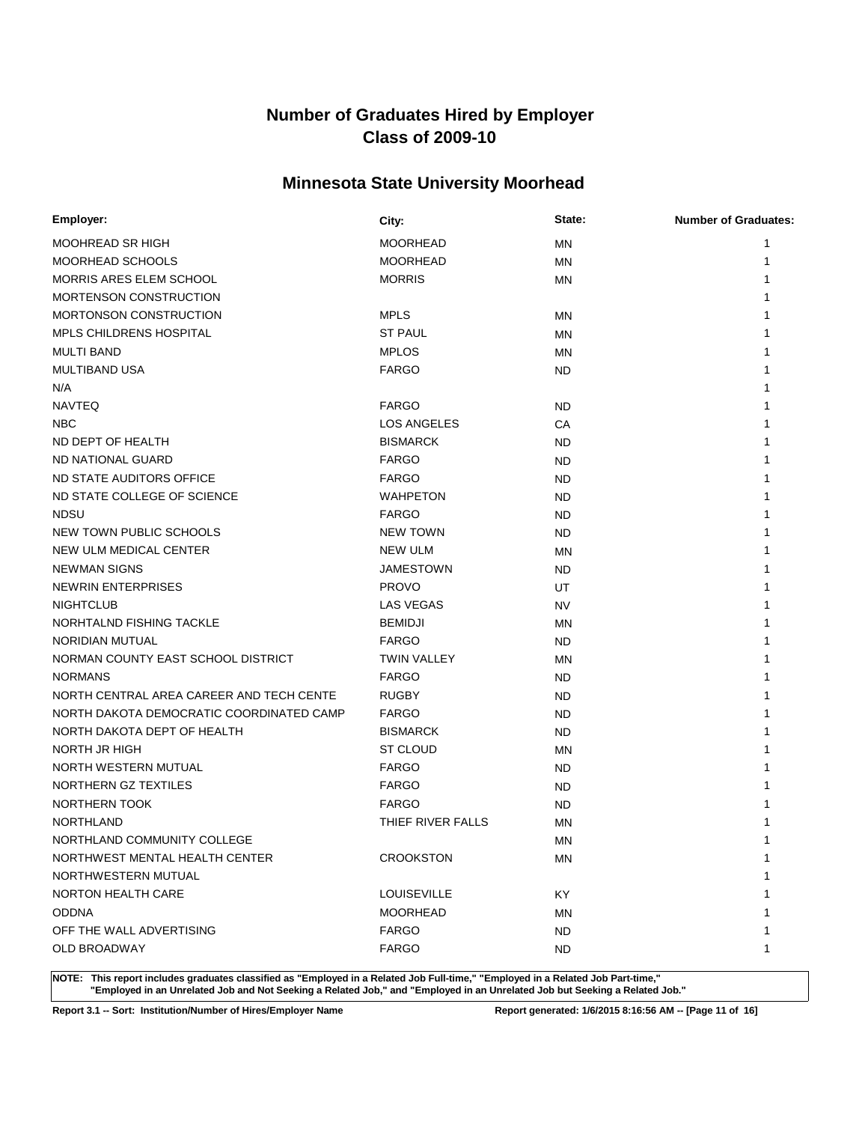### **Minnesota State University Moorhead**

| Employer:                                | City:              | State:    | <b>Number of Graduates:</b> |
|------------------------------------------|--------------------|-----------|-----------------------------|
| MOOHREAD SR HIGH                         | <b>MOORHEAD</b>    | <b>MN</b> | 1                           |
| MOORHEAD SCHOOLS                         | <b>MOORHEAD</b>    | <b>MN</b> |                             |
| MORRIS ARES ELEM SCHOOL                  | <b>MORRIS</b>      | <b>MN</b> |                             |
| MORTENSON CONSTRUCTION                   |                    |           |                             |
| <b>MORTONSON CONSTRUCTION</b>            | <b>MPLS</b>        | <b>MN</b> |                             |
| <b>MPLS CHILDRENS HOSPITAL</b>           | <b>ST PAUL</b>     | MN        |                             |
| <b>MULTI BAND</b>                        | <b>MPLOS</b>       | <b>MN</b> |                             |
| <b>MULTIBAND USA</b>                     | <b>FARGO</b>       | ND        |                             |
| N/A                                      |                    |           |                             |
| <b>NAVTEQ</b>                            | <b>FARGO</b>       | ND        |                             |
| <b>NBC</b>                               | LOS ANGELES        | CA        |                             |
| ND DEPT OF HEALTH                        | <b>BISMARCK</b>    | ND        |                             |
| ND NATIONAL GUARD                        | <b>FARGO</b>       | <b>ND</b> |                             |
| ND STATE AUDITORS OFFICE                 | <b>FARGO</b>       | ND        |                             |
| ND STATE COLLEGE OF SCIENCE              | <b>WAHPETON</b>    | <b>ND</b> |                             |
| <b>NDSU</b>                              | <b>FARGO</b>       | <b>ND</b> |                             |
| NEW TOWN PUBLIC SCHOOLS                  | <b>NEW TOWN</b>    | <b>ND</b> |                             |
| NEW ULM MEDICAL CENTER                   | <b>NEW ULM</b>     | MN        |                             |
| <b>NEWMAN SIGNS</b>                      | <b>JAMESTOWN</b>   | ND        |                             |
| <b>NEWRIN ENTERPRISES</b>                | <b>PROVO</b>       | UT        |                             |
| <b>NIGHTCLUB</b>                         | <b>LAS VEGAS</b>   | <b>NV</b> |                             |
| NORHTALND FISHING TACKLE                 | <b>BEMIDJI</b>     | MN        |                             |
| NORIDIAN MUTUAL                          | <b>FARGO</b>       | ND        |                             |
| NORMAN COUNTY EAST SCHOOL DISTRICT       | <b>TWIN VALLEY</b> | <b>MN</b> |                             |
| <b>NORMANS</b>                           | <b>FARGO</b>       | <b>ND</b> |                             |
| NORTH CENTRAL AREA CAREER AND TECH CENTE | <b>RUGBY</b>       | ND.       |                             |
| NORTH DAKOTA DEMOCRATIC COORDINATED CAMP | <b>FARGO</b>       | <b>ND</b> |                             |
| NORTH DAKOTA DEPT OF HEALTH              | <b>BISMARCK</b>    | ND        |                             |
| NORTH JR HIGH                            | <b>ST CLOUD</b>    | <b>MN</b> |                             |
| NORTH WESTERN MUTUAL                     | <b>FARGO</b>       | ND        |                             |
| NORTHERN GZ TEXTILES                     | <b>FARGO</b>       | <b>ND</b> |                             |
| NORTHERN TOOK                            | <b>FARGO</b>       | <b>ND</b> |                             |
| NORTHLAND                                | THIEF RIVER FALLS  | <b>MN</b> |                             |
| NORTHLAND COMMUNITY COLLEGE              |                    | MN        |                             |
| NORTHWEST MENTAL HEALTH CENTER           | <b>CROOKSTON</b>   | <b>MN</b> | 1                           |
| NORTHWESTERN MUTUAL                      |                    |           | 1                           |
| NORTON HEALTH CARE                       | <b>LOUISEVILLE</b> | KY        | 1                           |
| <b>ODDNA</b>                             | <b>MOORHEAD</b>    | MN        |                             |
| OFF THE WALL ADVERTISING                 | <b>FARGO</b>       | <b>ND</b> | 1                           |
| OLD BROADWAY                             | <b>FARGO</b>       | <b>ND</b> | 1                           |

**NOTE: This report includes graduates classified as "Employed in a Related Job Full-time," "Employed in a Related Job Part-time," "Employed in an Unrelated Job and Not Seeking a Related Job," and "Employed in an Unrelated Job but Seeking a Related Job."**

**Report 3.1 -- Sort: Institution/Number of Hires/Employer Name Report generated: 1/6/2015 8:16:56 AM -- [Page 11 of 16]**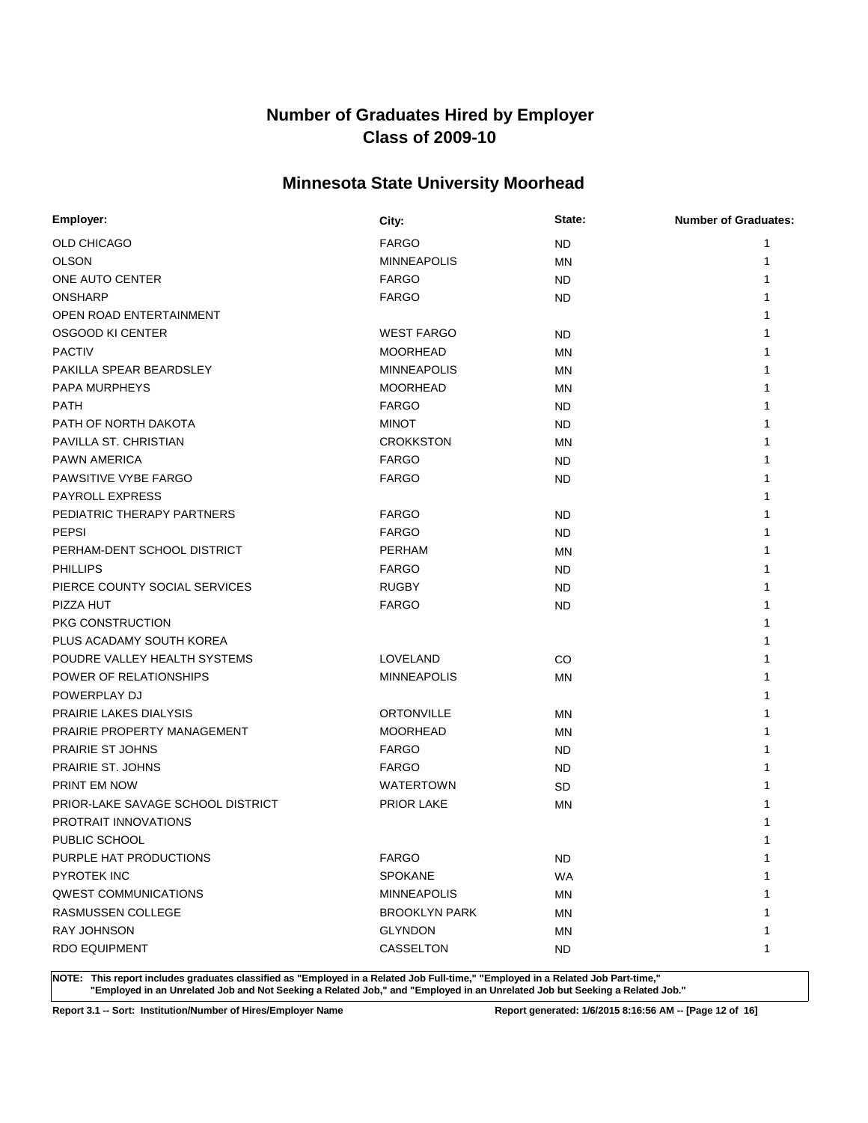### **Minnesota State University Moorhead**

| <b>OLD CHICAGO</b><br><b>FARGO</b><br><b>ND</b><br>1<br><b>OLSON</b><br><b>MINNEAPOLIS</b><br>MN<br>1<br>ONE AUTO CENTER<br><b>FARGO</b><br><b>ND</b><br><b>ONSHARP</b><br><b>FARGO</b><br>ND<br>OPEN ROAD ENTERTAINMENT | Employer: | City: | State: | <b>Number of Graduates:</b> |
|--------------------------------------------------------------------------------------------------------------------------------------------------------------------------------------------------------------------------|-----------|-------|--------|-----------------------------|
|                                                                                                                                                                                                                          |           |       |        |                             |
|                                                                                                                                                                                                                          |           |       |        |                             |
|                                                                                                                                                                                                                          |           |       |        |                             |
|                                                                                                                                                                                                                          |           |       |        |                             |
|                                                                                                                                                                                                                          |           |       |        |                             |
| OSGOOD KI CENTER<br><b>WEST FARGO</b><br>ND                                                                                                                                                                              |           |       |        |                             |
| <b>PACTIV</b><br><b>MOORHEAD</b><br>ΜN                                                                                                                                                                                   |           |       |        |                             |
| PAKILLA SPEAR BEARDSLEY<br><b>MINNEAPOLIS</b><br><b>MN</b>                                                                                                                                                               |           |       |        |                             |
| <b>PAPA MURPHEYS</b><br><b>MOORHEAD</b><br>MN                                                                                                                                                                            |           |       |        |                             |
| <b>PATH</b><br><b>FARGO</b><br><b>ND</b>                                                                                                                                                                                 |           |       |        |                             |
| PATH OF NORTH DAKOTA<br><b>MINOT</b><br><b>ND</b>                                                                                                                                                                        |           |       |        |                             |
| PAVILLA ST. CHRISTIAN<br><b>CROKKSTON</b><br>MN                                                                                                                                                                          |           |       |        |                             |
| <b>PAWN AMERICA</b><br><b>FARGO</b><br><b>ND</b>                                                                                                                                                                         |           |       |        |                             |
| PAWSITIVE VYBE FARGO<br><b>FARGO</b><br><b>ND</b>                                                                                                                                                                        |           |       |        |                             |
| <b>PAYROLL EXPRESS</b>                                                                                                                                                                                                   |           |       |        |                             |
| PEDIATRIC THERAPY PARTNERS<br><b>FARGO</b><br><b>ND</b>                                                                                                                                                                  |           |       |        |                             |
| <b>PEPSI</b><br><b>FARGO</b><br><b>ND</b>                                                                                                                                                                                |           |       |        |                             |
| PERHAM-DENT SCHOOL DISTRICT<br><b>PERHAM</b><br>MN                                                                                                                                                                       |           |       |        |                             |
| <b>PHILLIPS</b><br><b>FARGO</b><br><b>ND</b>                                                                                                                                                                             |           |       |        |                             |
| PIERCE COUNTY SOCIAL SERVICES<br><b>RUGBY</b><br>ND                                                                                                                                                                      |           |       |        |                             |
| PIZZA HUT<br><b>FARGO</b><br><b>ND</b>                                                                                                                                                                                   |           |       |        |                             |
| PKG CONSTRUCTION                                                                                                                                                                                                         |           |       |        |                             |
| PLUS ACADAMY SOUTH KOREA                                                                                                                                                                                                 |           |       |        |                             |
| POUDRE VALLEY HEALTH SYSTEMS<br>CO<br>LOVELAND                                                                                                                                                                           |           |       |        |                             |
| POWER OF RELATIONSHIPS<br><b>MINNEAPOLIS</b><br><b>MN</b>                                                                                                                                                                |           |       |        |                             |
| POWERPLAY DJ                                                                                                                                                                                                             |           |       |        |                             |
| <b>PRAIRIE LAKES DIALYSIS</b><br><b>ORTONVILLE</b><br>MN                                                                                                                                                                 |           |       |        |                             |
| PRAIRIE PROPERTY MANAGEMENT<br><b>MOORHEAD</b><br>MN                                                                                                                                                                     |           |       |        |                             |
| PRAIRIE ST JOHNS<br><b>FARGO</b><br><b>ND</b>                                                                                                                                                                            |           |       |        |                             |
| PRAIRIE ST. JOHNS<br><b>FARGO</b><br><b>ND</b>                                                                                                                                                                           |           |       |        |                             |
| <b>PRINT EM NOW</b><br><b>WATERTOWN</b><br><b>SD</b>                                                                                                                                                                     |           |       |        |                             |
| <b>PRIOR LAKE</b><br>PRIOR-LAKE SAVAGE SCHOOL DISTRICT<br>MN                                                                                                                                                             |           |       |        |                             |
| PROTRAIT INNOVATIONS                                                                                                                                                                                                     |           |       |        |                             |
| PUBLIC SCHOOL<br>1                                                                                                                                                                                                       |           |       |        |                             |
| PURPLE HAT PRODUCTIONS<br><b>FARGO</b><br>$\mathbf 1$<br>ND.                                                                                                                                                             |           |       |        |                             |
| <b>PYROTEK INC</b><br><b>SPOKANE</b><br><b>WA</b>                                                                                                                                                                        |           |       |        |                             |
| <b>QWEST COMMUNICATIONS</b><br><b>MINNEAPOLIS</b><br>ΜN                                                                                                                                                                  |           |       |        |                             |
| <b>RASMUSSEN COLLEGE</b><br><b>BROOKLYN PARK</b><br>MN                                                                                                                                                                   |           |       |        |                             |
| <b>RAY JOHNSON</b><br><b>GLYNDON</b><br>MN                                                                                                                                                                               |           |       |        |                             |
| <b>RDO EQUIPMENT</b><br><b>CASSELTON</b><br><b>ND</b><br>-1                                                                                                                                                              |           |       |        |                             |

**NOTE: This report includes graduates classified as "Employed in a Related Job Full-time," "Employed in a Related Job Part-time," "Employed in an Unrelated Job and Not Seeking a Related Job," and "Employed in an Unrelated Job but Seeking a Related Job."**

**Report 3.1 -- Sort: Institution/Number of Hires/Employer Name Report generated: 1/6/2015 8:16:56 AM -- [Page 12 of 16]**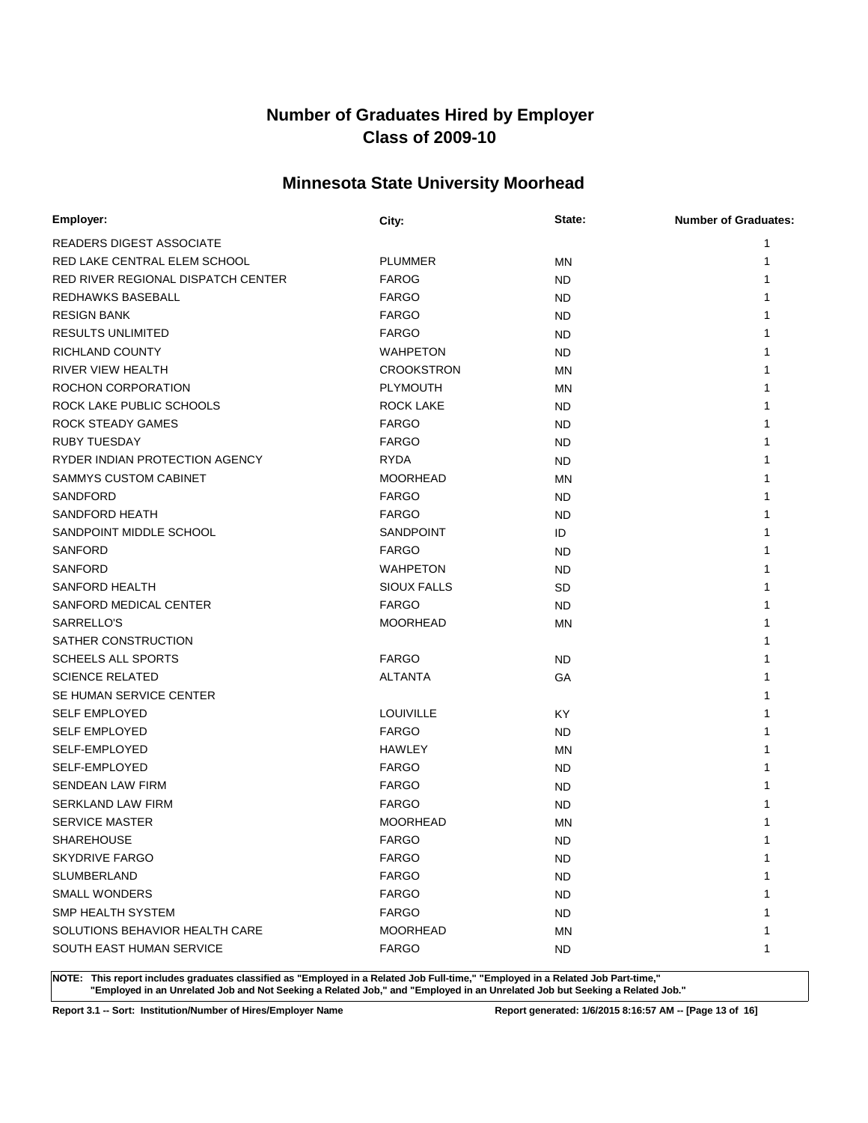### **Minnesota State University Moorhead**

| Employer:                          | City:              | State:    | <b>Number of Graduates:</b> |
|------------------------------------|--------------------|-----------|-----------------------------|
| <b>READERS DIGEST ASSOCIATE</b>    |                    |           | 1                           |
| RED LAKE CENTRAL ELEM SCHOOL       | <b>PLUMMER</b>     | <b>MN</b> | 1                           |
| RED RIVER REGIONAL DISPATCH CENTER | <b>FAROG</b>       | ND        |                             |
| REDHAWKS BASEBALL                  | <b>FARGO</b>       | ND        |                             |
| <b>RESIGN BANK</b>                 | <b>FARGO</b>       | ND        |                             |
| <b>RESULTS UNLIMITED</b>           | <b>FARGO</b>       | ND        |                             |
| RICHLAND COUNTY                    | <b>WAHPETON</b>    | ND        |                             |
| RIVER VIEW HEALTH                  | <b>CROOKSTRON</b>  | <b>MN</b> |                             |
| ROCHON CORPORATION                 | <b>PLYMOUTH</b>    | MN        |                             |
| ROCK LAKE PUBLIC SCHOOLS           | <b>ROCK LAKE</b>   | <b>ND</b> |                             |
| ROCK STEADY GAMES                  | <b>FARGO</b>       | ND        |                             |
| <b>RUBY TUESDAY</b>                | <b>FARGO</b>       | <b>ND</b> |                             |
| RYDER INDIAN PROTECTION AGENCY     | <b>RYDA</b>        | ND        |                             |
| SAMMYS CUSTOM CABINET              | <b>MOORHEAD</b>    | <b>MN</b> |                             |
| SANDFORD                           | <b>FARGO</b>       | ND        |                             |
| <b>SANDFORD HEATH</b>              | <b>FARGO</b>       | <b>ND</b> |                             |
| SANDPOINT MIDDLE SCHOOL            | <b>SANDPOINT</b>   | ID        |                             |
| <b>SANFORD</b>                     | <b>FARGO</b>       | <b>ND</b> |                             |
| <b>SANFORD</b>                     | <b>WAHPETON</b>    | ND        |                             |
| <b>SANFORD HEALTH</b>              | <b>SIOUX FALLS</b> | <b>SD</b> |                             |
| SANFORD MEDICAL CENTER             | <b>FARGO</b>       | <b>ND</b> |                             |
| SARRELLO'S                         | <b>MOORHEAD</b>    | <b>MN</b> |                             |
| SATHER CONSTRUCTION                |                    |           |                             |
| <b>SCHEELS ALL SPORTS</b>          | <b>FARGO</b>       | ND        |                             |
| <b>SCIENCE RELATED</b>             | <b>ALTANTA</b>     | GA        |                             |
| SE HUMAN SERVICE CENTER            |                    |           |                             |
| <b>SELF EMPLOYED</b>               | <b>LOUIVILLE</b>   | KY        |                             |
| <b>SELF EMPLOYED</b>               | <b>FARGO</b>       | ND        |                             |
| SELF-EMPLOYED                      | HAWLEY             | MN        |                             |
| SELF-EMPLOYED                      | <b>FARGO</b>       | ND        |                             |
| <b>SENDEAN LAW FIRM</b>            | <b>FARGO</b>       | ND        |                             |
| SERKLAND LAW FIRM                  | <b>FARGO</b>       | <b>ND</b> |                             |
| <b>SERVICE MASTER</b>              | <b>MOORHEAD</b>    | MN        |                             |
| SHAREHOUSE                         | <b>FARGO</b>       | <b>ND</b> | 1                           |
| <b>SKYDRIVE FARGO</b>              | <b>FARGO</b>       | ND.       | 1                           |
| <b>SLUMBERLAND</b>                 | <b>FARGO</b>       | <b>ND</b> |                             |
| <b>SMALL WONDERS</b>               | <b>FARGO</b>       | ND.       |                             |
| <b>SMP HEALTH SYSTEM</b>           | <b>FARGO</b>       | <b>ND</b> |                             |
| SOLUTIONS BEHAVIOR HEALTH CARE     | <b>MOORHEAD</b>    | MN        |                             |
| SOUTH EAST HUMAN SERVICE           | <b>FARGO</b>       | <b>ND</b> | 1                           |

**NOTE: This report includes graduates classified as "Employed in a Related Job Full-time," "Employed in a Related Job Part-time," "Employed in an Unrelated Job and Not Seeking a Related Job," and "Employed in an Unrelated Job but Seeking a Related Job."**

**Report 3.1 -- Sort: Institution/Number of Hires/Employer Name Report generated: 1/6/2015 8:16:57 AM -- [Page 13 of 16]**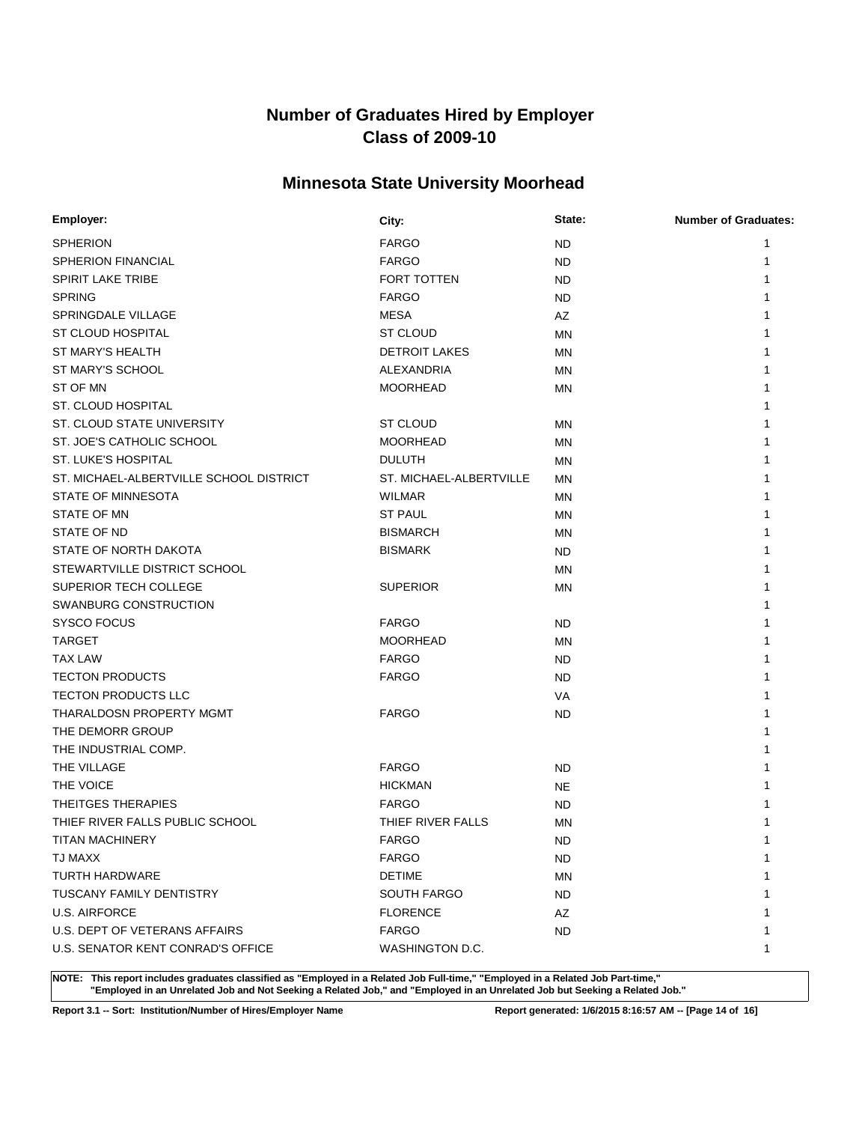### **Minnesota State University Moorhead**

| Employer:                               | City:                   | State:    | <b>Number of Graduates:</b> |
|-----------------------------------------|-------------------------|-----------|-----------------------------|
| <b>SPHERION</b>                         | <b>FARGO</b>            | <b>ND</b> | 1                           |
| <b>SPHERION FINANCIAL</b>               | <b>FARGO</b>            | ND        | 1                           |
| <b>SPIRIT LAKE TRIBE</b>                | <b>FORT TOTTEN</b>      | ND        |                             |
| <b>SPRING</b>                           | <b>FARGO</b>            | ND        |                             |
| SPRINGDALE VILLAGE                      | <b>MESA</b>             | AZ        |                             |
| ST CLOUD HOSPITAL                       | ST CLOUD                | <b>MN</b> |                             |
| ST MARY'S HEALTH                        | <b>DETROIT LAKES</b>    | ΜN        |                             |
| ST MARY'S SCHOOL                        | ALEXANDRIA              | <b>MN</b> |                             |
| ST OF MN                                | <b>MOORHEAD</b>         | ΜN        |                             |
| ST. CLOUD HOSPITAL                      |                         |           |                             |
| ST. CLOUD STATE UNIVERSITY              | <b>ST CLOUD</b>         | ΜN        |                             |
| ST. JOE'S CATHOLIC SCHOOL               | <b>MOORHEAD</b>         | <b>MN</b> |                             |
| ST. LUKE'S HOSPITAL                     | <b>DULUTH</b>           | ΜN        |                             |
| ST. MICHAEL-ALBERTVILLE SCHOOL DISTRICT | ST. MICHAEL-ALBERTVILLE | <b>MN</b> |                             |
| STATE OF MINNESOTA                      | <b>WILMAR</b>           | ΜN        |                             |
| <b>STATE OF MN</b>                      | <b>ST PAUL</b>          | ΜN        |                             |
| STATE OF ND                             | <b>BISMARCH</b>         | ΜN        |                             |
| STATE OF NORTH DAKOTA                   | <b>BISMARK</b>          | ND        |                             |
| STEWARTVILLE DISTRICT SCHOOL            |                         | ΜN        |                             |
| SUPERIOR TECH COLLEGE                   | <b>SUPERIOR</b>         | ΜN        |                             |
| SWANBURG CONSTRUCTION                   |                         |           |                             |
| SYSCO FOCUS                             | <b>FARGO</b>            | ND        |                             |
| <b>TARGET</b>                           | <b>MOORHEAD</b>         | ΜN        |                             |
| TAX LAW                                 | <b>FARGO</b>            | ND        |                             |
| <b>TECTON PRODUCTS</b>                  | <b>FARGO</b>            | <b>ND</b> |                             |
| <b>TECTON PRODUCTS LLC</b>              |                         | VA        |                             |
| THARALDOSN PROPERTY MGMT                | <b>FARGO</b>            | ND        |                             |
| THE DEMORR GROUP                        |                         |           |                             |
| THE INDUSTRIAL COMP.                    |                         |           |                             |
| THE VILLAGE                             | <b>FARGO</b>            | <b>ND</b> |                             |
| THE VOICE                               | <b>HICKMAN</b>          | <b>NE</b> |                             |
| THEITGES THERAPIES                      | <b>FARGO</b>            | <b>ND</b> |                             |
| THIEF RIVER FALLS PUBLIC SCHOOL         | THIEF RIVER FALLS       | MN        |                             |
| <b>TITAN MACHINERY</b>                  | <b>FARGO</b>            | <b>ND</b> | 1                           |
| TJ MAXX                                 | <b>FARGO</b>            | ND.       | 1                           |
| <b>TURTH HARDWARE</b>                   | <b>DETIME</b>           | ΜN        |                             |
| <b>TUSCANY FAMILY DENTISTRY</b>         | <b>SOUTH FARGO</b>      | ND.       |                             |
| <b>U.S. AIRFORCE</b>                    | <b>FLORENCE</b>         | AZ        |                             |
| U.S. DEPT OF VETERANS AFFAIRS           | <b>FARGO</b>            | ND.       |                             |
| U.S. SENATOR KENT CONRAD'S OFFICE       | WASHINGTON D.C.         |           | 1                           |

**NOTE: This report includes graduates classified as "Employed in a Related Job Full-time," "Employed in a Related Job Part-time," "Employed in an Unrelated Job and Not Seeking a Related Job," and "Employed in an Unrelated Job but Seeking a Related Job."**

**Report 3.1 -- Sort: Institution/Number of Hires/Employer Name Report generated: 1/6/2015 8:16:57 AM -- [Page 14 of 16]**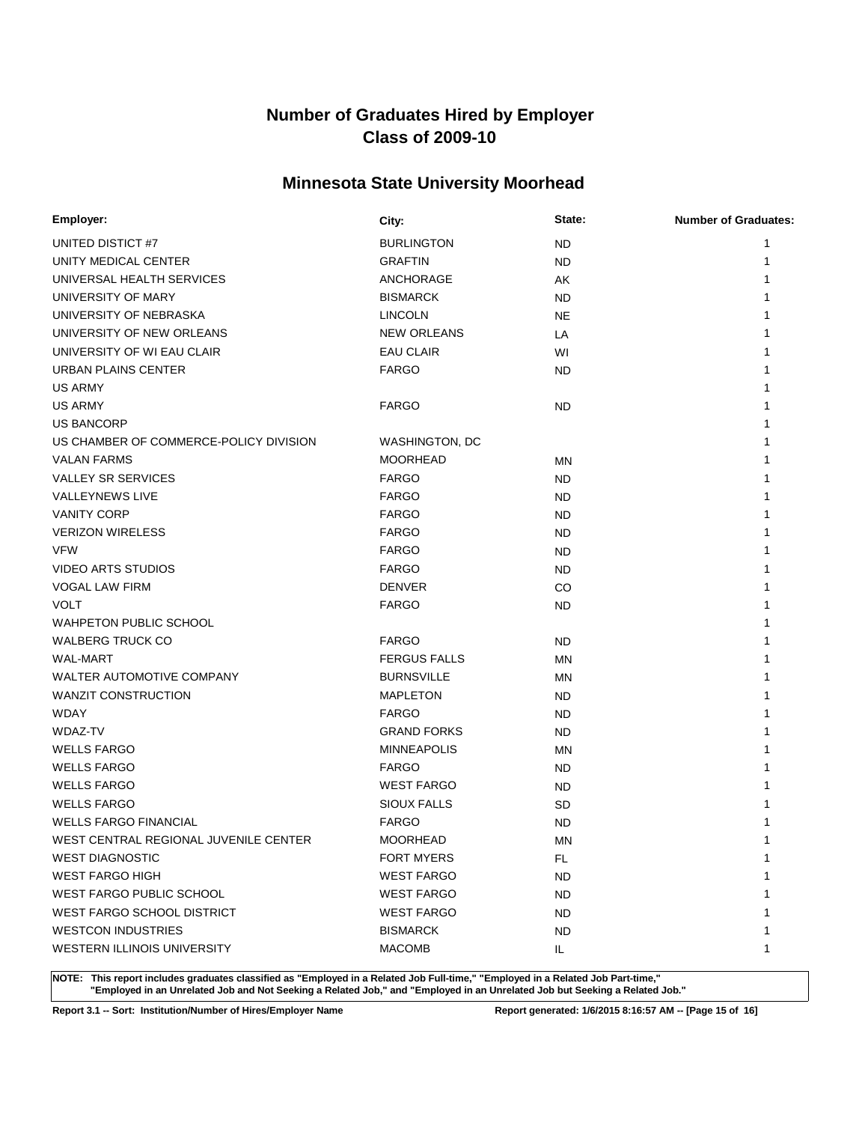### **Minnesota State University Moorhead**

| Employer:                              | City:               | State:    | <b>Number of Graduates:</b> |
|----------------------------------------|---------------------|-----------|-----------------------------|
| UNITED DISTICT #7                      | <b>BURLINGTON</b>   | <b>ND</b> | 1                           |
| UNITY MEDICAL CENTER                   | <b>GRAFTIN</b>      | <b>ND</b> | 1                           |
| UNIVERSAL HEALTH SERVICES              | ANCHORAGE           | AK        |                             |
| UNIVERSITY OF MARY                     | <b>BISMARCK</b>     | ND.       |                             |
| UNIVERSITY OF NEBRASKA                 | <b>LINCOLN</b>      | <b>NE</b> |                             |
| UNIVERSITY OF NEW ORLEANS              | <b>NEW ORLEANS</b>  | LA        |                             |
| UNIVERSITY OF WI EAU CLAIR             | <b>EAU CLAIR</b>    | WI        |                             |
| URBAN PLAINS CENTER                    | <b>FARGO</b>        | ND.       |                             |
| US ARMY                                |                     |           |                             |
| <b>US ARMY</b>                         | <b>FARGO</b>        | <b>ND</b> |                             |
| <b>US BANCORP</b>                      |                     |           |                             |
| US CHAMBER OF COMMERCE-POLICY DIVISION | WASHINGTON, DC      |           |                             |
| <b>VALAN FARMS</b>                     | <b>MOORHEAD</b>     | ΜN        |                             |
| <b>VALLEY SR SERVICES</b>              | <b>FARGO</b>        | ND.       |                             |
| <b>VALLEYNEWS LIVE</b>                 | <b>FARGO</b>        | ND.       |                             |
| <b>VANITY CORP</b>                     | <b>FARGO</b>        | <b>ND</b> |                             |
| <b>VERIZON WIRELESS</b>                | <b>FARGO</b>        | <b>ND</b> |                             |
| <b>VFW</b>                             | <b>FARGO</b>        | <b>ND</b> |                             |
| <b>VIDEO ARTS STUDIOS</b>              | <b>FARGO</b>        | ND.       |                             |
| <b>VOGAL LAW FIRM</b>                  | <b>DENVER</b>       | CO        |                             |
| <b>VOLT</b>                            | <b>FARGO</b>        | ND.       |                             |
| <b>WAHPETON PUBLIC SCHOOL</b>          |                     |           |                             |
| <b>WALBERG TRUCK CO</b>                | <b>FARGO</b>        | ND.       |                             |
| <b>WAL-MART</b>                        | <b>FERGUS FALLS</b> | <b>MN</b> |                             |
| WALTER AUTOMOTIVE COMPANY              | <b>BURNSVILLE</b>   | MN        |                             |
| <b>WANZIT CONSTRUCTION</b>             | <b>MAPLETON</b>     | ND.       |                             |
| <b>WDAY</b>                            | <b>FARGO</b>        | ND.       |                             |
| WDAZ-TV                                | <b>GRAND FORKS</b>  | ND.       |                             |
| <b>WELLS FARGO</b>                     | <b>MINNEAPOLIS</b>  | MN        |                             |
| <b>WELLS FARGO</b>                     | <b>FARGO</b>        | ND.       |                             |
| <b>WELLS FARGO</b>                     | <b>WEST FARGO</b>   | ND.       |                             |
| <b>WELLS FARGO</b>                     | <b>SIOUX FALLS</b>  | SD        |                             |
| <b>WELLS FARGO FINANCIAL</b>           | <b>FARGO</b>        | <b>ND</b> |                             |
| WEST CENTRAL REGIONAL JUVENILE CENTER  | <b>MOORHEAD</b>     | MN        | 1                           |
| <b>WEST DIAGNOSTIC</b>                 | <b>FORT MYERS</b>   | FL.       | 1                           |
| <b>WEST FARGO HIGH</b>                 | <b>WEST FARGO</b>   | <b>ND</b> | 1                           |
| <b>WEST FARGO PUBLIC SCHOOL</b>        | <b>WEST FARGO</b>   | ND.       | 1                           |
| <b>WEST FARGO SCHOOL DISTRICT</b>      | <b>WEST FARGO</b>   | <b>ND</b> | 1                           |
| <b>WESTCON INDUSTRIES</b>              | <b>BISMARCK</b>     | ND.       | 1                           |
| WESTERN ILLINOIS UNIVERSITY            | <b>MACOMB</b>       | IL.       | 1                           |

**NOTE: This report includes graduates classified as "Employed in a Related Job Full-time," "Employed in a Related Job Part-time," "Employed in an Unrelated Job and Not Seeking a Related Job," and "Employed in an Unrelated Job but Seeking a Related Job."**

**Report 3.1 -- Sort: Institution/Number of Hires/Employer Name Report generated: 1/6/2015 8:16:57 AM -- [Page 15 of 16]**